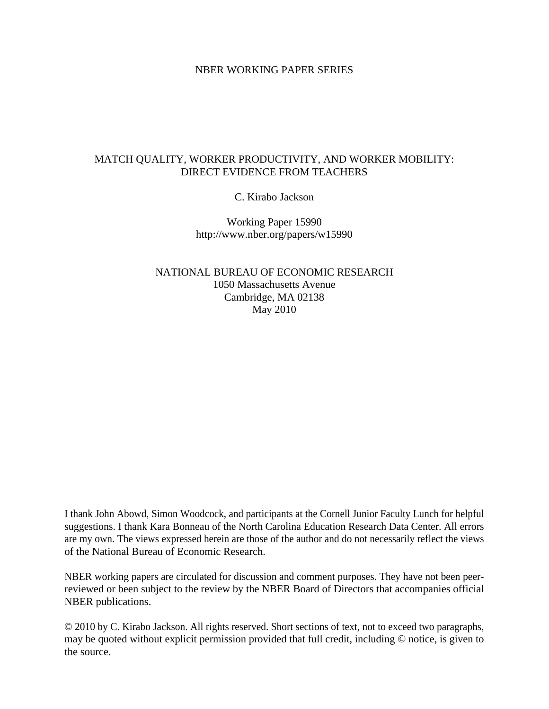# NBER WORKING PAPER SERIES

# MATCH QUALITY, WORKER PRODUCTIVITY, AND WORKER MOBILITY: DIRECT EVIDENCE FROM TEACHERS

C. Kirabo Jackson

Working Paper 15990 http://www.nber.org/papers/w15990

NATIONAL BUREAU OF ECONOMIC RESEARCH 1050 Massachusetts Avenue Cambridge, MA 02138 May 2010

I thank John Abowd, Simon Woodcock, and participants at the Cornell Junior Faculty Lunch for helpful suggestions. I thank Kara Bonneau of the North Carolina Education Research Data Center. All errors are my own. The views expressed herein are those of the author and do not necessarily reflect the views of the National Bureau of Economic Research.

NBER working papers are circulated for discussion and comment purposes. They have not been peerreviewed or been subject to the review by the NBER Board of Directors that accompanies official NBER publications.

© 2010 by C. Kirabo Jackson. All rights reserved. Short sections of text, not to exceed two paragraphs, may be quoted without explicit permission provided that full credit, including © notice, is given to the source.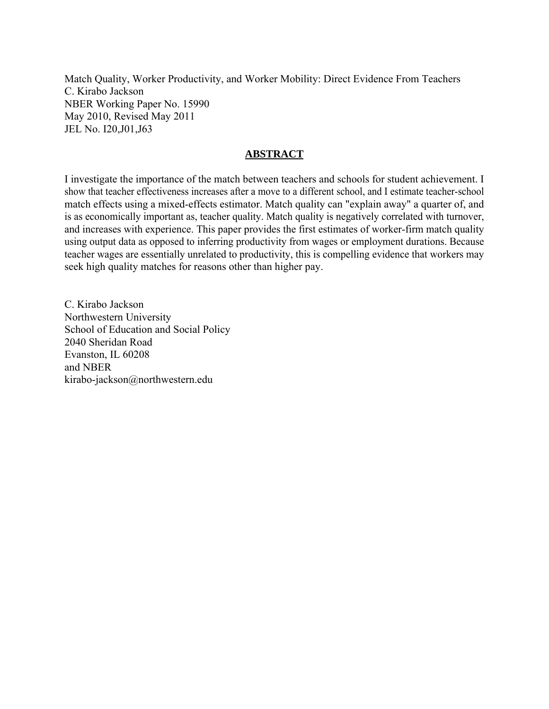Match Quality, Worker Productivity, and Worker Mobility: Direct Evidence From Teachers C. Kirabo Jackson NBER Working Paper No. 15990 May 2010, Revised May 2011 JEL No. I20,J01,J63

# **ABSTRACT**

I investigate the importance of the match between teachers and schools for student achievement. I show that teacher effectiveness increases after a move to a different school, and I estimate teacher-school match effects using a mixed-effects estimator. Match quality can "explain away" a quarter of, and is as economically important as, teacher quality. Match quality is negatively correlated with turnover, and increases with experience. This paper provides the first estimates of worker-firm match quality using output data as opposed to inferring productivity from wages or employment durations. Because teacher wages are essentially unrelated to productivity, this is compelling evidence that workers may seek high quality matches for reasons other than higher pay.

C. Kirabo Jackson Northwestern University School of Education and Social Policy 2040 Sheridan Road Evanston, IL 60208 and NBER kirabo-jackson@northwestern.edu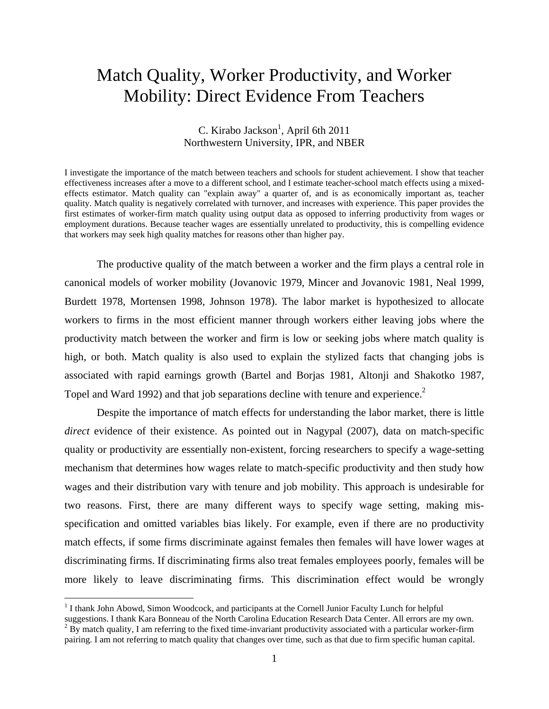# Match Quality, Worker Productivity, and Worker Mobility: Direct Evidence From Teachers

# C. Kirabo Jackson<sup>1</sup>, April 6th 2011 Northwestern University, IPR, and NBER

I investigate the importance of the match between teachers and schools for student achievement. I show that teacher effectiveness increases after a move to a different school, and I estimate teacher-school match effects using a mixedeffects estimator. Match quality can "explain away" a quarter of, and is as economically important as, teacher quality. Match quality is negatively correlated with turnover, and increases with experience. This paper provides the first estimates of worker-firm match quality using output data as opposed to inferring productivity from wages or employment durations. Because teacher wages are essentially unrelated to productivity, this is compelling evidence that workers may seek high quality matches for reasons other than higher pay.

 The productive quality of the match between a worker and the firm plays a central role in canonical models of worker mobility (Jovanovic 1979, Mincer and Jovanovic 1981, Neal 1999, Burdett 1978, Mortensen 1998, Johnson 1978). The labor market is hypothesized to allocate workers to firms in the most efficient manner through workers either leaving jobs where the productivity match between the worker and firm is low or seeking jobs where match quality is high, or both. Match quality is also used to explain the stylized facts that changing jobs is associated with rapid earnings growth (Bartel and Borjas 1981, Altonji and Shakotko 1987, Topel and Ward 1992) and that job separations decline with tenure and experience.<sup>2</sup>

 Despite the importance of match effects for understanding the labor market, there is little *direct* evidence of their existence. As pointed out in Nagypal (2007), data on match-specific quality or productivity are essentially non-existent, forcing researchers to specify a wage-setting mechanism that determines how wages relate to match-specific productivity and then study how wages and their distribution vary with tenure and job mobility. This approach is undesirable for two reasons. First, there are many different ways to specify wage setting, making misspecification and omitted variables bias likely. For example, even if there are no productivity match effects, if some firms discriminate against females then females will have lower wages at discriminating firms. If discriminating firms also treat females employees poorly, females will be more likely to leave discriminating firms. This discrimination effect would be wrongly

 $\overline{a}$ 

<sup>&</sup>lt;sup>1</sup> I thank John Abowd, Simon Woodcock, and participants at the Cornell Junior Faculty Lunch for helpful

suggestions. I thank Kara Bonneau of the North Carolina Education Research Data Center. All errors are my own.  $<sup>2</sup>$  By match quality, I am referring to the fixed time-invariant productivity associated with a particular worker-firm</sup> pairing. I am not referring to match quality that changes over time, such as that due to firm specific human capital.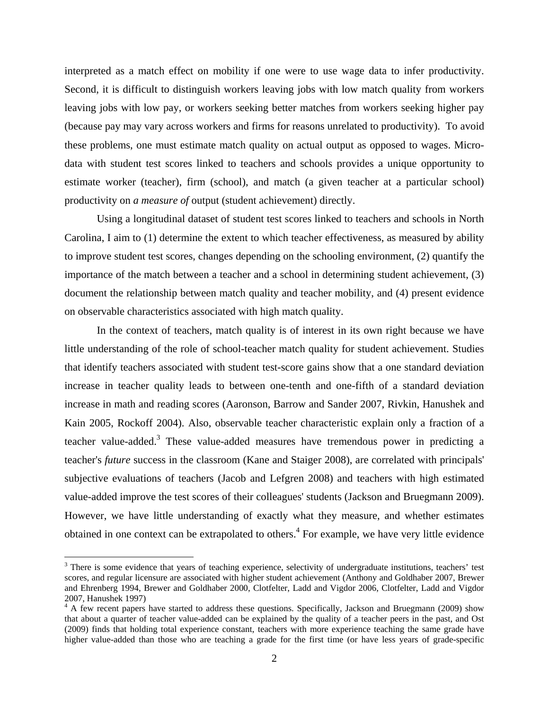interpreted as a match effect on mobility if one were to use wage data to infer productivity. Second, it is difficult to distinguish workers leaving jobs with low match quality from workers leaving jobs with low pay, or workers seeking better matches from workers seeking higher pay (because pay may vary across workers and firms for reasons unrelated to productivity). To avoid these problems, one must estimate match quality on actual output as opposed to wages. Microdata with student test scores linked to teachers and schools provides a unique opportunity to estimate worker (teacher), firm (school), and match (a given teacher at a particular school) productivity on *a measure of* output (student achievement) directly.

 Using a longitudinal dataset of student test scores linked to teachers and schools in North Carolina, I aim to (1) determine the extent to which teacher effectiveness, as measured by ability to improve student test scores, changes depending on the schooling environment, (2) quantify the importance of the match between a teacher and a school in determining student achievement, (3) document the relationship between match quality and teacher mobility, and (4) present evidence on observable characteristics associated with high match quality.

 In the context of teachers, match quality is of interest in its own right because we have little understanding of the role of school-teacher match quality for student achievement. Studies that identify teachers associated with student test-score gains show that a one standard deviation increase in teacher quality leads to between one-tenth and one-fifth of a standard deviation increase in math and reading scores (Aaronson, Barrow and Sander 2007, Rivkin, Hanushek and Kain 2005, Rockoff 2004). Also, observable teacher characteristic explain only a fraction of a teacher value-added.<sup>3</sup> These value-added measures have tremendous power in predicting a teacher's *future* success in the classroom (Kane and Staiger 2008), are correlated with principals' subjective evaluations of teachers (Jacob and Lefgren 2008) and teachers with high estimated value-added improve the test scores of their colleagues' students (Jackson and Bruegmann 2009). However, we have little understanding of exactly what they measure, and whether estimates obtained in one context can be extrapolated to others.<sup>4</sup> For example, we have very little evidence

 $\overline{a}$ 

 $3$  There is some evidence that years of teaching experience, selectivity of undergraduate institutions, teachers' test scores, and regular licensure are associated with higher student achievement (Anthony and Goldhaber 2007, Brewer and Ehrenberg 1994, Brewer and Goldhaber 2000, Clotfelter, Ladd and Vigdor 2006, Clotfelter, Ladd and Vigdor 2007, Hanushek 1997)

<sup>&</sup>lt;sup>4</sup> A few recent papers have started to address these questions. Specifically, Jackson and Bruegmann (2009) show that about a quarter of teacher value-added can be explained by the quality of a teacher peers in the past, and Ost (2009) finds that holding total experience constant, teachers with more experience teaching the same grade have higher value-added than those who are teaching a grade for the first time (or have less years of grade-specific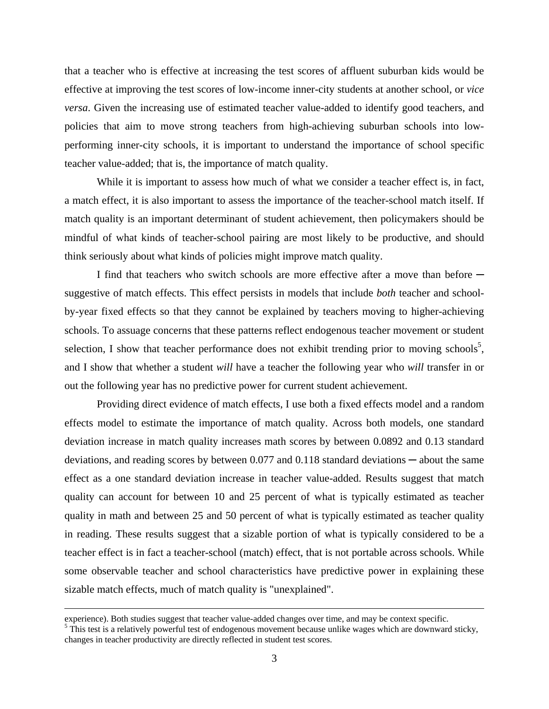that a teacher who is effective at increasing the test scores of affluent suburban kids would be effective at improving the test scores of low-income inner-city students at another school*,* or *vice versa*. Given the increasing use of estimated teacher value-added to identify good teachers, and policies that aim to move strong teachers from high-achieving suburban schools into lowperforming inner-city schools, it is important to understand the importance of school specific teacher value-added; that is, the importance of match quality.

 While it is important to assess how much of what we consider a teacher effect is, in fact, a match effect, it is also important to assess the importance of the teacher-school match itself. If match quality is an important determinant of student achievement, then policymakers should be mindful of what kinds of teacher-school pairing are most likely to be productive, and should think seriously about what kinds of policies might improve match quality.

I find that teachers who switch schools are more effective after a move than before suggestive of match effects. This effect persists in models that include *both* teacher and schoolby-year fixed effects so that they cannot be explained by teachers moving to higher-achieving schools. To assuage concerns that these patterns reflect endogenous teacher movement or student selection, I show that teacher performance does not exhibit trending prior to moving schools<sup>5</sup>, and I show that whether a student *will* have a teacher the following year who *will* transfer in or out the following year has no predictive power for current student achievement.

 Providing direct evidence of match effects, I use both a fixed effects model and a random effects model to estimate the importance of match quality. Across both models, one standard deviation increase in match quality increases math scores by between 0.0892 and 0.13 standard deviations, and reading scores by between  $0.077$  and  $0.118$  standard deviations  $-$  about the same effect as a one standard deviation increase in teacher value-added. Results suggest that match quality can account for between 10 and 25 percent of what is typically estimated as teacher quality in math and between 25 and 50 percent of what is typically estimated as teacher quality in reading. These results suggest that a sizable portion of what is typically considered to be a teacher effect is in fact a teacher-school (match) effect, that is not portable across schools. While some observable teacher and school characteristics have predictive power in explaining these sizable match effects, much of match quality is "unexplained".

experience). Both studies suggest that teacher value-added changes over time, and may be context specific. 5 This test is a relatively powerful test of endogenous movement because unlike wages which are downward sticky,

changes in teacher productivity are directly reflected in student test scores.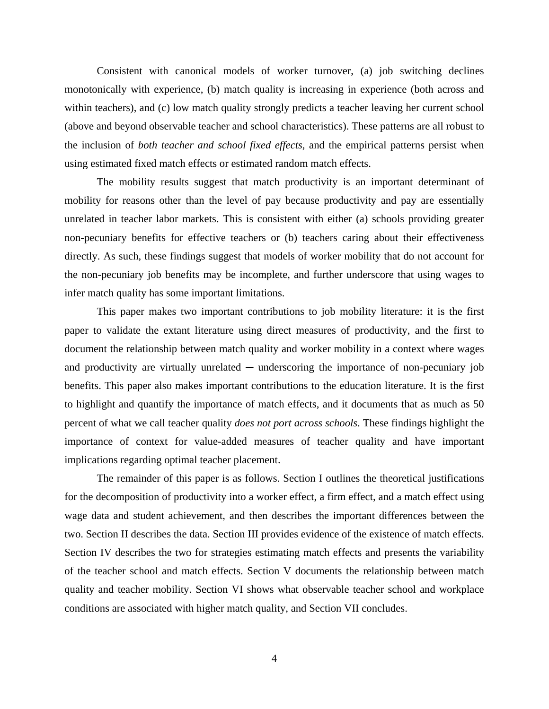Consistent with canonical models of worker turnover, (a) job switching declines monotonically with experience, (b) match quality is increasing in experience (both across and within teachers), and (c) low match quality strongly predicts a teacher leaving her current school (above and beyond observable teacher and school characteristics). These patterns are all robust to the inclusion of *both teacher and school fixed effects*, and the empirical patterns persist when using estimated fixed match effects or estimated random match effects.

 The mobility results suggest that match productivity is an important determinant of mobility for reasons other than the level of pay because productivity and pay are essentially unrelated in teacher labor markets. This is consistent with either (a) schools providing greater non-pecuniary benefits for effective teachers or (b) teachers caring about their effectiveness directly. As such, these findings suggest that models of worker mobility that do not account for the non-pecuniary job benefits may be incomplete, and further underscore that using wages to infer match quality has some important limitations.

 This paper makes two important contributions to job mobility literature: it is the first paper to validate the extant literature using direct measures of productivity, and the first to document the relationship between match quality and worker mobility in a context where wages and productivity are virtually unrelated  $-$  underscoring the importance of non-pecuniary job benefits. This paper also makes important contributions to the education literature. It is the first to highlight and quantify the importance of match effects, and it documents that as much as 50 percent of what we call teacher quality *does not port across schools*. These findings highlight the importance of context for value-added measures of teacher quality and have important implications regarding optimal teacher placement.

 The remainder of this paper is as follows. Section I outlines the theoretical justifications for the decomposition of productivity into a worker effect, a firm effect, and a match effect using wage data and student achievement, and then describes the important differences between the two. Section II describes the data. Section III provides evidence of the existence of match effects. Section IV describes the two for strategies estimating match effects and presents the variability of the teacher school and match effects. Section V documents the relationship between match quality and teacher mobility. Section VI shows what observable teacher school and workplace conditions are associated with higher match quality, and Section VII concludes.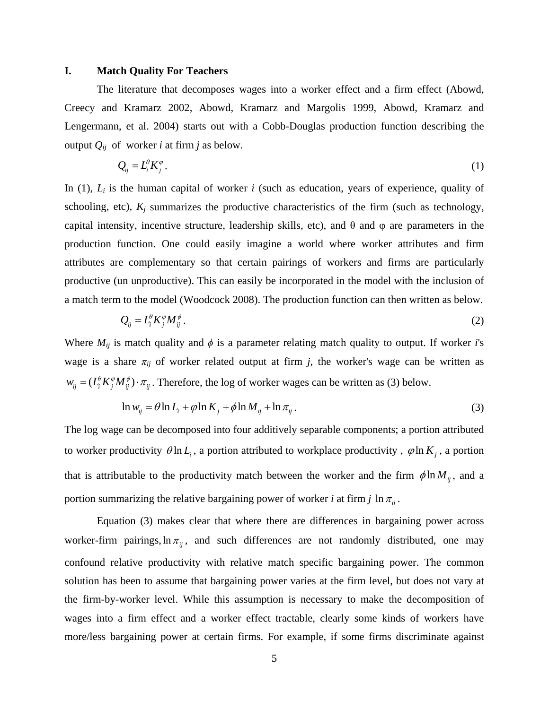#### **I. Match Quality For Teachers**

 The literature that decomposes wages into a worker effect and a firm effect (Abowd, Creecy and Kramarz 2002, Abowd, Kramarz and Margolis 1999, Abowd, Kramarz and Lengermann, et al. 2004) starts out with a Cobb-Douglas production function describing the output  $Q_{ij}$  of worker *i* at firm *j* as below.

$$
Q_{ij} = L_i^{\theta} K_j^{\varphi} \,. \tag{1}
$$

In  $(1)$ ,  $L_i$  is the human capital of worker *i* (such as education, years of experience, quality of schooling, etc),  $K_i$  summarizes the productive characteristics of the firm (such as technology, capital intensity, incentive structure, leadership skills, etc), and  $\theta$  and  $\varphi$  are parameters in the production function. One could easily imagine a world where worker attributes and firm attributes are complementary so that certain pairings of workers and firms are particularly productive (un unproductive). This can easily be incorporated in the model with the inclusion of a match term to the model (Woodcock 2008). The production function can then written as below.

$$
Q_{ij} = L_i^{\theta} K_j^{\phi} M_{ij}^{\phi} \,. \tag{2}
$$

Where  $M_{ij}$  is match quality and  $\phi$  is a parameter relating match quality to output. If worker *i*'s wage is a share  $\pi_{ij}$  of worker related output at firm *j*, the worker's wage can be written as  $w_{ij} = (L_i^{\theta} K_j^{\phi} M_{ij}^{\phi}) \cdot \pi_{ij}$ . Therefore, the log of worker wages can be written as (3) below.

$$
\ln w_{ij} = \theta \ln L_i + \varphi \ln K_j + \phi \ln M_{ij} + \ln \pi_{ij}.
$$
\n(3)

The log wage can be decomposed into four additively separable components; a portion attributed to worker productivity  $\theta \ln L_i$ , a portion attributed to workplace productivity,  $\phi \ln K_i$ , a portion that is attributable to the productivity match between the worker and the firm  $\phi \ln M_{ii}$ , and a portion summarizing the relative bargaining power of worker *i* at firm *j*  $\ln \pi_{ij}$ .

 Equation (3) makes clear that where there are differences in bargaining power across worker-firm pairings,  $\ln \pi_{ij}$ , and such differences are not randomly distributed, one may confound relative productivity with relative match specific bargaining power. The common solution has been to assume that bargaining power varies at the firm level, but does not vary at the firm-by-worker level. While this assumption is necessary to make the decomposition of wages into a firm effect and a worker effect tractable, clearly some kinds of workers have more/less bargaining power at certain firms. For example, if some firms discriminate against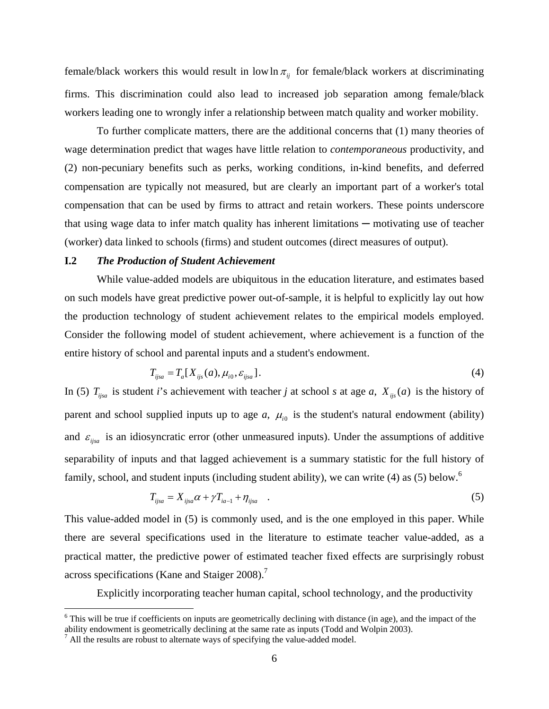female/black workers this would result in low  $\ln \pi_{ij}$  for female/black workers at discriminating firms. This discrimination could also lead to increased job separation among female/black workers leading one to wrongly infer a relationship between match quality and worker mobility.

 To further complicate matters, there are the additional concerns that (1) many theories of wage determination predict that wages have little relation to *contemporaneous* productivity, and (2) non-pecuniary benefits such as perks, working conditions, in-kind benefits, and deferred compensation are typically not measured, but are clearly an important part of a worker's total compensation that can be used by firms to attract and retain workers. These points underscore that using wage data to infer match quality has inherent limitations  $-$  motivating use of teacher (worker) data linked to schools (firms) and student outcomes (direct measures of output).

# **I.2** *The Production of Student Achievement*

 While value-added models are ubiquitous in the education literature, and estimates based on such models have great predictive power out-of-sample, it is helpful to explicitly lay out how the production technology of student achievement relates to the empirical models employed. Consider the following model of student achievement, where achievement is a function of the entire history of school and parental inputs and a student's endowment.

$$
T_{ijsa} = T_a[X_{ijs}(a), \mu_{i0}, \varepsilon_{ijsa}].
$$
\n<sup>(4)</sup>

In (5)  $T_{ijsa}$  is student *i*'s achievement with teacher *j* at school *s* at age *a*,  $X_{ijs}(a)$  is the history of parent and school supplied inputs up to age  $a$ ,  $\mu_{i0}$  is the student's natural endowment (ability) and  $\varepsilon_{i,iga}$  is an idiosyncratic error (other unmeasured inputs). Under the assumptions of additive separability of inputs and that lagged achievement is a summary statistic for the full history of family, school, and student inputs (including student ability), we can write (4) as (5) below.<sup>6</sup>

$$
T_{ijsa} = X_{ijsa} \alpha + \gamma T_{ia-1} + \eta_{ijsa} \quad . \tag{5}
$$

This value-added model in (5) is commonly used, and is the one employed in this paper. While there are several specifications used in the literature to estimate teacher value-added, as a practical matter, the predictive power of estimated teacher fixed effects are surprisingly robust across specifications (Kane and Staiger 2008).<sup>7</sup>

Explicitly incorporating teacher human capital, school technology, and the productivity

 $\overline{a}$ 

<sup>&</sup>lt;sup>6</sup> This will be true if coefficients on inputs are geometrically declining with distance (in age), and the impact of the ability endowment is geometrically declining at the same rate as inputs (Todd and Wolpin 2003).

<sup>&</sup>lt;sup>7</sup> All the results are robust to alternate ways of specifying the value-added model.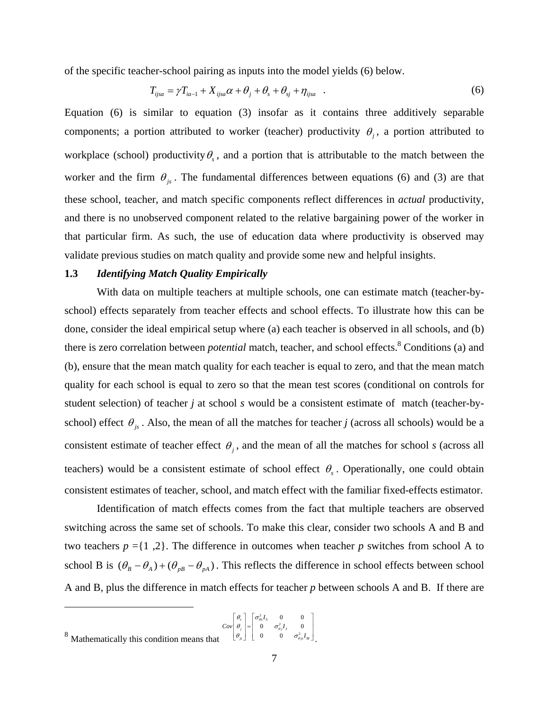of the specific teacher-school pairing as inputs into the model yields (6) below.

$$
T_{ijsa} = \gamma T_{ia-1} + X_{ijsa}\alpha + \theta_j + \theta_s + \theta_{sj} + \eta_{ijsa} \quad . \tag{6}
$$

Equation (6) is similar to equation (3) insofar as it contains three additively separable components; a portion attributed to worker (teacher) productivity  $\theta_i$ , a portion attributed to workplace (school) productivity  $\theta_{s}$ , and a portion that is attributable to the match between the worker and the firm  $\theta_{i}$ . The fundamental differences between equations (6) and (3) are that these school, teacher, and match specific components reflect differences in *actual* productivity, and there is no unobserved component related to the relative bargaining power of the worker in that particular firm. As such, the use of education data where productivity is observed may validate previous studies on match quality and provide some new and helpful insights.

#### **1.3** *Identifying Match Quality Empirically*

 With data on multiple teachers at multiple schools, one can estimate match (teacher-byschool) effects separately from teacher effects and school effects. To illustrate how this can be done, consider the ideal empirical setup where (a) each teacher is observed in all schools, and (b) there is zero correlation between *potential* match, teacher, and school effects.<sup>8</sup> Conditions (a) and (b), ensure that the mean match quality for each teacher is equal to zero, and that the mean match quality for each school is equal to zero so that the mean test scores (conditional on controls for student selection) of teacher *j* at school *s* would be a consistent estimate of match (teacher-byschool) effect  $\theta_{j_s}$ . Also, the mean of all the matches for teacher *j* (across all schools) would be a consistent estimate of teacher effect  $\theta_i$ , and the mean of all the matches for school *s* (across all teachers) would be a consistent estimate of school effect  $\theta_s$ . Operationally, one could obtain consistent estimates of teacher, school, and match effect with the familiar fixed-effects estimator.

 Identification of match effects comes from the fact that multiple teachers are observed switching across the same set of schools. To make this clear, consider two schools A and B and two teachers  $p = \{1, 2\}$ . The difference in outcomes when teacher p switches from school A to school B is  $(\theta_B - \theta_A) + (\theta_{pB} - \theta_{pA})$ . This reflects the difference in school effects between school A and B, plus the difference in match effects for teacher *p* between schools A and B. If there are

<u>.</u>

<sup>0 0</sup> 0  $\sigma_{\theta i}^2 I_i = 0$  $s \left| \right.$   $\left| \right.$   $\left| \right.$   $\left| \right.$   $\left| \right.$   $\left| \right.$   $\left| \right.$   $\left| \right.$   $\left| \right.$   $\left| \right.$   $\left| \right.$   $\left| \right.$   $\left| \right.$   $\left| \right.$   $\left| \right.$   $\left| \right.$   $\left| \right.$   $\left| \right.$   $\left| \right.$   $\left| \right.$   $\left| \right.$   $\left| \right.$   $\left| \right.$   $\left| \right.$   $\left|$ *I Cov*  $\theta_i$  |=| 0  $\sigma_{\theta_i}^2$ *I* 0  $\theta$  |  $\sigma$  $\theta$  =  $\theta$   $\sigma$ 

 $8$  Mathematically this condition means that 0 0  $j \mid \neg \mid$  <sup>*O*</sup>  $\theta$ *<sub>j</sub>I*  $j_s$  | |  $\cup$   $\cup$   $\cup$   $\theta j_s$ <sup> $\perp$ </sup>*M I* θ θ  $\begin{bmatrix} \theta_s \\ \theta_j \\ \theta_{j} \end{bmatrix} = \begin{bmatrix} \sigma_{\theta s}^2 I_s & 0 & 0 \\ 0 & \sigma_{\theta j}^2 I_j & 0 \\ 0 & 0 & \sigma_{\theta j s}^2 I_M \end{bmatrix}$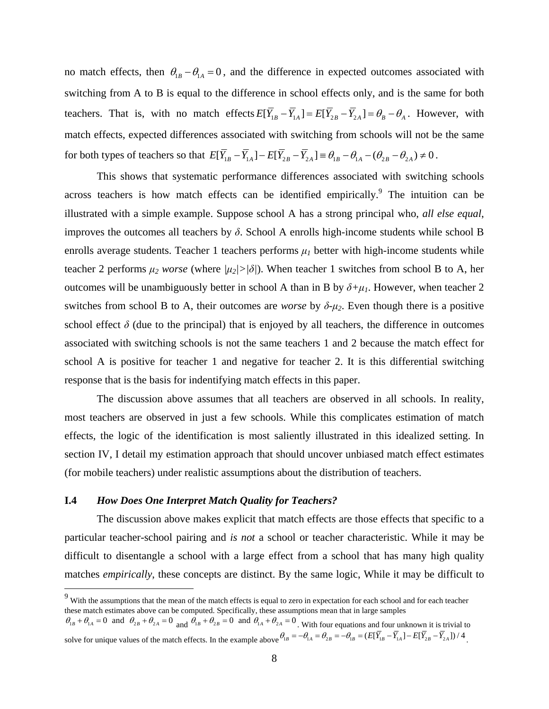no match effects, then  $\theta_{1B} - \theta_{1A} = 0$ , and the difference in expected outcomes associated with switching from A to B is equal to the difference in school effects only, and is the same for both teachers. That is, with no match effects  $E[\overline{Y}_{1B} - \overline{Y}_{1A}] = E[\overline{Y}_{2B} - \overline{Y}_{2A}] = \theta_B - \theta_A$ . However, with match effects, expected differences associated with switching from schools will not be the same for both types of teachers so that  $E[\overline{Y}_{1B} - \overline{Y}_{1A}] - E[\overline{Y}_{2B} - \overline{Y}_{2A}] \equiv \theta_{1B} - \theta_{1A} - (\theta_{2B} - \theta_{2A}) \neq 0$ .

 This shows that systematic performance differences associated with switching schools across teachers is how match effects can be identified empirically. The intuition can be illustrated with a simple example. Suppose school A has a strong principal who, *all else equal*, improves the outcomes all teachers by  $\delta$ . School A enrolls high-income students while school B enrolls average students. Teacher 1 teachers performs  $\mu_l$  better with high-income students while teacher 2 performs  $\mu_2$  worse (where  $|\mu_2| > |\delta|$ ). When teacher 1 switches from school B to A, her outcomes will be unambiguously better in school A than in B by  $\delta + \mu_l$ . However, when teacher 2 switches from school B to A, their outcomes are *worse* by  $\delta$ - $\mu_2$ . Even though there is a positive school effect  $\delta$  (due to the principal) that is enjoyed by all teachers, the difference in outcomes associated with switching schools is not the same teachers 1 and 2 because the match effect for school A is positive for teacher 1 and negative for teacher 2. It is this differential switching response that is the basis for indentifying match effects in this paper.

 The discussion above assumes that all teachers are observed in all schools. In reality, most teachers are observed in just a few schools. While this complicates estimation of match effects, the logic of the identification is most saliently illustrated in this idealized setting. In section IV, I detail my estimation approach that should uncover unbiased match effect estimates (for mobile teachers) under realistic assumptions about the distribution of teachers.

#### **I.4** *How Does One Interpret Match Quality for Teachers?*

 $\overline{a}$ 

 The discussion above makes explicit that match effects are those effects that specific to a particular teacher-school pairing and *is not* a school or teacher characteristic. While it may be difficult to disentangle a school with a large effect from a school that has many high quality matches *empirically*, these concepts are distinct. By the same logic, While it may be difficult to

<sup>&</sup>lt;sup>9</sup> With the assumptions that the mean of the match effects is equal to zero in expectation for each school and for each teacher these match estimates above can be computed. Specifically, these assumptions mean that in large samples

 $\theta_{1B} + \theta_{1A} = 0$  and  $\theta_{2B} + \theta_{2A} = 0$  and  $\theta_{1B} + \theta_{2B} = 0$  and  $\theta_{1A} + \theta_{2A} = 0$ . With four equations and four unknown it is trivial to solve for unique values of the match effects. In the example above  $\theta_{1B} = -\theta_{1A} = \theta_{2B} = -\theta_{1B} = (E[\overline{Y}_{1B} - \overline{Y}_{1A}] - E[\overline{Y}_{2B} - \overline{Y}_{2A}])/4$ .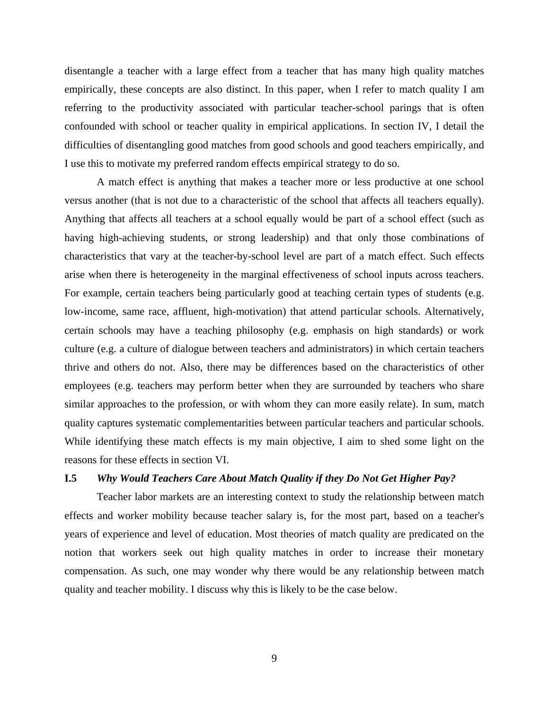disentangle a teacher with a large effect from a teacher that has many high quality matches empirically, these concepts are also distinct. In this paper, when I refer to match quality I am referring to the productivity associated with particular teacher-school parings that is often confounded with school or teacher quality in empirical applications. In section IV, I detail the difficulties of disentangling good matches from good schools and good teachers empirically, and I use this to motivate my preferred random effects empirical strategy to do so.

 A match effect is anything that makes a teacher more or less productive at one school versus another (that is not due to a characteristic of the school that affects all teachers equally). Anything that affects all teachers at a school equally would be part of a school effect (such as having high-achieving students, or strong leadership) and that only those combinations of characteristics that vary at the teacher-by-school level are part of a match effect. Such effects arise when there is heterogeneity in the marginal effectiveness of school inputs across teachers. For example, certain teachers being particularly good at teaching certain types of students (e.g. low-income, same race, affluent, high-motivation) that attend particular schools. Alternatively, certain schools may have a teaching philosophy (e.g. emphasis on high standards) or work culture (e.g. a culture of dialogue between teachers and administrators) in which certain teachers thrive and others do not. Also, there may be differences based on the characteristics of other employees (e.g. teachers may perform better when they are surrounded by teachers who share similar approaches to the profession, or with whom they can more easily relate). In sum, match quality captures systematic complementarities between particular teachers and particular schools. While identifying these match effects is my main objective, I aim to shed some light on the reasons for these effects in section VI.

# **I.5** *Why Would Teachers Care About Match Quality if they Do Not Get Higher Pay?*

 Teacher labor markets are an interesting context to study the relationship between match effects and worker mobility because teacher salary is, for the most part, based on a teacher's years of experience and level of education. Most theories of match quality are predicated on the notion that workers seek out high quality matches in order to increase their monetary compensation. As such, one may wonder why there would be any relationship between match quality and teacher mobility. I discuss why this is likely to be the case below.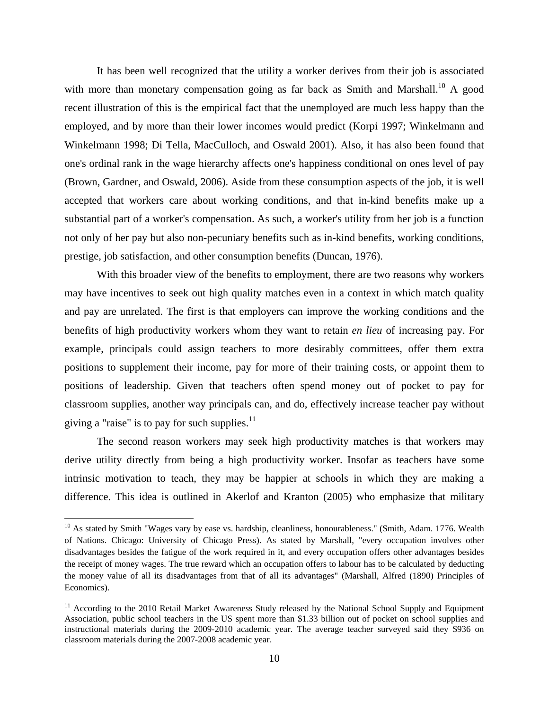It has been well recognized that the utility a worker derives from their job is associated with more than monetary compensation going as far back as Smith and Marshall.<sup>10</sup> A good recent illustration of this is the empirical fact that the unemployed are much less happy than the employed, and by more than their lower incomes would predict (Korpi 1997; Winkelmann and Winkelmann 1998; Di Tella, MacCulloch, and Oswald 2001). Also, it has also been found that one's ordinal rank in the wage hierarchy affects one's happiness conditional on ones level of pay (Brown, Gardner, and Oswald, 2006). Aside from these consumption aspects of the job, it is well accepted that workers care about working conditions, and that in-kind benefits make up a substantial part of a worker's compensation. As such, a worker's utility from her job is a function not only of her pay but also non-pecuniary benefits such as in-kind benefits, working conditions, prestige, job satisfaction, and other consumption benefits (Duncan, 1976).

 With this broader view of the benefits to employment, there are two reasons why workers may have incentives to seek out high quality matches even in a context in which match quality and pay are unrelated. The first is that employers can improve the working conditions and the benefits of high productivity workers whom they want to retain *en lieu* of increasing pay. For example, principals could assign teachers to more desirably committees, offer them extra positions to supplement their income, pay for more of their training costs, or appoint them to positions of leadership. Given that teachers often spend money out of pocket to pay for classroom supplies, another way principals can, and do, effectively increase teacher pay without giving a "raise" is to pay for such supplies. $^{11}$ 

 The second reason workers may seek high productivity matches is that workers may derive utility directly from being a high productivity worker. Insofar as teachers have some intrinsic motivation to teach, they may be happier at schools in which they are making a difference. This idea is outlined in Akerlof and Kranton (2005) who emphasize that military

1

 $10$  As stated by Smith "Wages vary by ease vs. hardship, cleanliness, honourableness." (Smith, Adam. 1776. Wealth of Nations. Chicago: University of Chicago Press). As stated by Marshall, "every occupation involves other disadvantages besides the fatigue of the work required in it, and every occupation offers other advantages besides the receipt of money wages. The true reward which an occupation offers to labour has to be calculated by deducting the money value of all its disadvantages from that of all its advantages" (Marshall, Alfred (1890) Principles of Economics).

<sup>&</sup>lt;sup>11</sup> According to the 2010 Retail Market Awareness Study released by the National School Supply and Equipment Association, public school teachers in the US spent more than \$1.33 billion out of pocket on school supplies and instructional materials during the 2009-2010 academic year. The average teacher surveyed said they \$936 on classroom materials during the 2007-2008 academic year.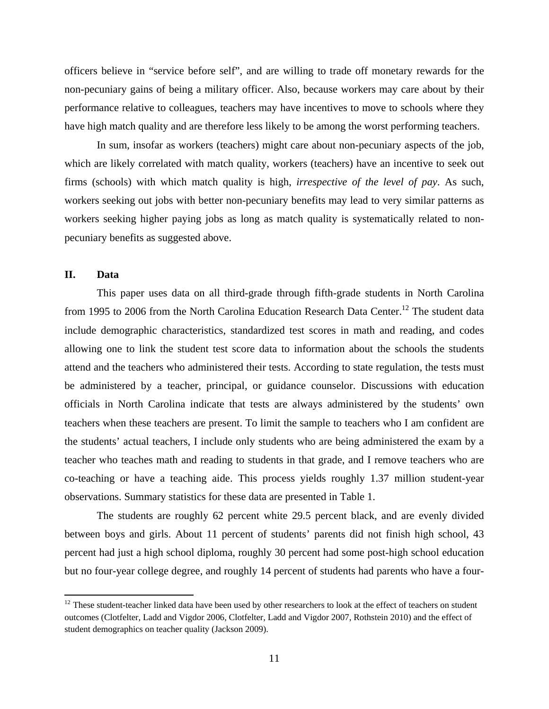officers believe in "service before self", and are willing to trade off monetary rewards for the non-pecuniary gains of being a military officer. Also, because workers may care about by their performance relative to colleagues, teachers may have incentives to move to schools where they have high match quality and are therefore less likely to be among the worst performing teachers.

 In sum, insofar as workers (teachers) might care about non-pecuniary aspects of the job, which are likely correlated with match quality, workers (teachers) have an incentive to seek out firms (schools) with which match quality is high, *irrespective of the level of pay*. As such, workers seeking out jobs with better non-pecuniary benefits may lead to very similar patterns as workers seeking higher paying jobs as long as match quality is systematically related to nonpecuniary benefits as suggested above.

# **II. Data**

1

This paper uses data on all third-grade through fifth-grade students in North Carolina from 1995 to 2006 from the North Carolina Education Research Data Center.<sup>12</sup> The student data include demographic characteristics, standardized test scores in math and reading, and codes allowing one to link the student test score data to information about the schools the students attend and the teachers who administered their tests. According to state regulation, the tests must be administered by a teacher, principal, or guidance counselor. Discussions with education officials in North Carolina indicate that tests are always administered by the students' own teachers when these teachers are present. To limit the sample to teachers who I am confident are the students' actual teachers, I include only students who are being administered the exam by a teacher who teaches math and reading to students in that grade, and I remove teachers who are co-teaching or have a teaching aide. This process yields roughly 1.37 million student-year observations. Summary statistics for these data are presented in Table 1.

The students are roughly 62 percent white 29.5 percent black, and are evenly divided between boys and girls. About 11 percent of students' parents did not finish high school, 43 percent had just a high school diploma, roughly 30 percent had some post-high school education but no four-year college degree, and roughly 14 percent of students had parents who have a four-

 $12$  These student-teacher linked data have been used by other researchers to look at the effect of teachers on student outcomes (Clotfelter, Ladd and Vigdor 2006, Clotfelter, Ladd and Vigdor 2007, Rothstein 2010) and the effect of student demographics on teacher quality (Jackson 2009).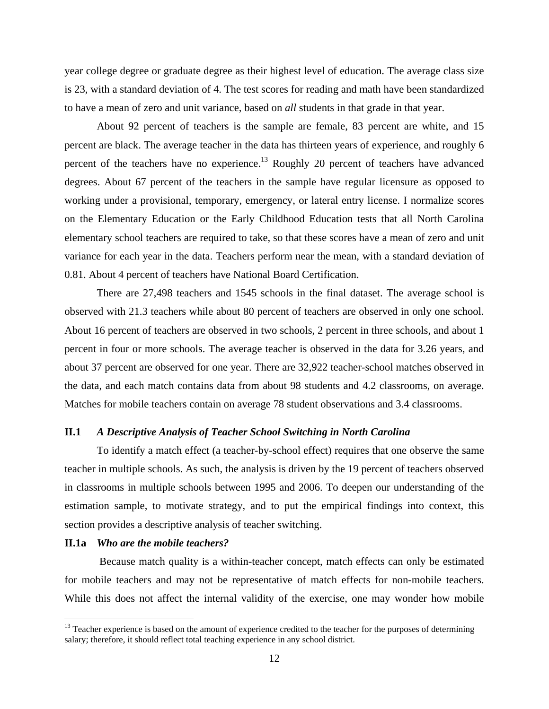year college degree or graduate degree as their highest level of education. The average class size is 23, with a standard deviation of 4. The test scores for reading and math have been standardized to have a mean of zero and unit variance, based on *all* students in that grade in that year.

About 92 percent of teachers is the sample are female, 83 percent are white, and 15 percent are black. The average teacher in the data has thirteen years of experience, and roughly 6 percent of the teachers have no experience.<sup>13</sup> Roughly 20 percent of teachers have advanced degrees. About 67 percent of the teachers in the sample have regular licensure as opposed to working under a provisional, temporary, emergency, or lateral entry license. I normalize scores on the Elementary Education or the Early Childhood Education tests that all North Carolina elementary school teachers are required to take, so that these scores have a mean of zero and unit variance for each year in the data. Teachers perform near the mean, with a standard deviation of 0.81. About 4 percent of teachers have National Board Certification.

 There are 27,498 teachers and 1545 schools in the final dataset. The average school is observed with 21.3 teachers while about 80 percent of teachers are observed in only one school. About 16 percent of teachers are observed in two schools, 2 percent in three schools, and about 1 percent in four or more schools. The average teacher is observed in the data for 3.26 years, and about 37 percent are observed for one year. There are 32,922 teacher-school matches observed in the data, and each match contains data from about 98 students and 4.2 classrooms, on average. Matches for mobile teachers contain on average 78 student observations and 3.4 classrooms.

#### **II.1** *A Descriptive Analysis of Teacher School Switching in North Carolina*

 To identify a match effect (a teacher-by-school effect) requires that one observe the same teacher in multiple schools. As such, the analysis is driven by the 19 percent of teachers observed in classrooms in multiple schools between 1995 and 2006. To deepen our understanding of the estimation sample, to motivate strategy, and to put the empirical findings into context, this section provides a descriptive analysis of teacher switching.

#### **II.1a** *Who are the mobile teachers?*

 $\overline{a}$ 

Because match quality is a within-teacher concept, match effects can only be estimated for mobile teachers and may not be representative of match effects for non-mobile teachers. While this does not affect the internal validity of the exercise, one may wonder how mobile

<sup>&</sup>lt;sup>13</sup> Teacher experience is based on the amount of experience credited to the teacher for the purposes of determining salary; therefore, it should reflect total teaching experience in any school district.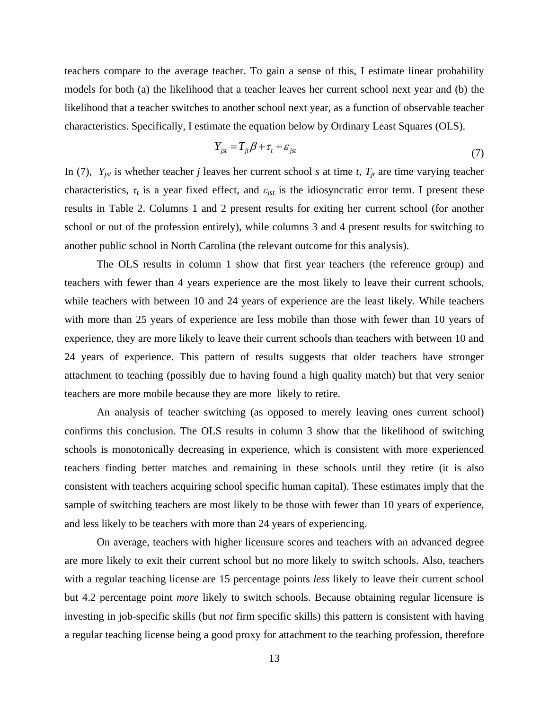teachers compare to the average teacher. To gain a sense of this, I estimate linear probability models for both (a) the likelihood that a teacher leaves her current school next year and (b) the likelihood that a teacher switches to another school next year, as a function of observable teacher characteristics. Specifically, I estimate the equation below by Ordinary Least Squares (OLS).

$$
Y_{jst} = T_{jt}\beta + \tau_t + \varepsilon_{jst} \tag{7}
$$

In (7),  $Y_{jst}$  is whether teacher *j* leaves her current school *s* at time *t*,  $T_{jt}$  are time varying teacher characteristics,  $\tau_t$  is a year fixed effect, and  $\varepsilon_{jst}$  is the idiosyncratic error term. I present these results in Table 2. Columns 1 and 2 present results for exiting her current school (for another school or out of the profession entirely), while columns 3 and 4 present results for switching to another public school in North Carolina (the relevant outcome for this analysis).

 The OLS results in column 1 show that first year teachers (the reference group) and teachers with fewer than 4 years experience are the most likely to leave their current schools, while teachers with between 10 and 24 years of experience are the least likely. While teachers with more than 25 years of experience are less mobile than those with fewer than 10 years of experience, they are more likely to leave their current schools than teachers with between 10 and 24 years of experience. This pattern of results suggests that older teachers have stronger attachment to teaching (possibly due to having found a high quality match) but that very senior teachers are more mobile because they are more likely to retire.

 An analysis of teacher switching (as opposed to merely leaving ones current school) confirms this conclusion. The OLS results in column 3 show that the likelihood of switching schools is monotonically decreasing in experience, which is consistent with more experienced teachers finding better matches and remaining in these schools until they retire (it is also consistent with teachers acquiring school specific human capital). These estimates imply that the sample of switching teachers are most likely to be those with fewer than 10 years of experience, and less likely to be teachers with more than 24 years of experiencing.

 On average, teachers with higher licensure scores and teachers with an advanced degree are more likely to exit their current school but no more likely to switch schools. Also, teachers with a regular teaching license are 15 percentage points *less* likely to leave their current school but 4.2 percentage point *more* likely to switch schools. Because obtaining regular licensure is investing in job-specific skills (but *not* firm specific skills) this pattern is consistent with having a regular teaching license being a good proxy for attachment to the teaching profession, therefore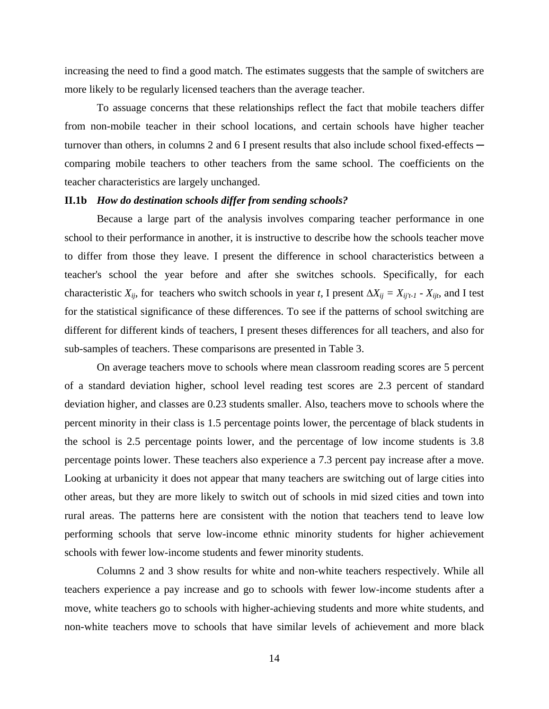increasing the need to find a good match. The estimates suggests that the sample of switchers are more likely to be regularly licensed teachers than the average teacher.

 To assuage concerns that these relationships reflect the fact that mobile teachers differ from non-mobile teacher in their school locations, and certain schools have higher teacher turnover than others, in columns 2 and 6 I present results that also include school fixed-effects comparing mobile teachers to other teachers from the same school. The coefficients on the teacher characteristics are largely unchanged.

#### **II.1b** *How do destination schools differ from sending schools?*

Because a large part of the analysis involves comparing teacher performance in one school to their performance in another, it is instructive to describe how the schools teacher move to differ from those they leave. I present the difference in school characteristics between a teacher's school the year before and after she switches schools. Specifically, for each characteristic  $X_{ij}$ , for teachers who switch schools in year *t*, I present  $\Delta X_{ij} = X_{ij't-1} - X_{ijt}$ , and I test for the statistical significance of these differences. To see if the patterns of school switching are different for different kinds of teachers, I present theses differences for all teachers, and also for sub-samples of teachers. These comparisons are presented in Table 3.

 On average teachers move to schools where mean classroom reading scores are 5 percent of a standard deviation higher, school level reading test scores are 2.3 percent of standard deviation higher, and classes are 0.23 students smaller. Also, teachers move to schools where the percent minority in their class is 1.5 percentage points lower, the percentage of black students in the school is 2.5 percentage points lower, and the percentage of low income students is 3.8 percentage points lower. These teachers also experience a 7.3 percent pay increase after a move. Looking at urbanicity it does not appear that many teachers are switching out of large cities into other areas, but they are more likely to switch out of schools in mid sized cities and town into rural areas. The patterns here are consistent with the notion that teachers tend to leave low performing schools that serve low-income ethnic minority students for higher achievement schools with fewer low-income students and fewer minority students.

 Columns 2 and 3 show results for white and non-white teachers respectively. While all teachers experience a pay increase and go to schools with fewer low-income students after a move, white teachers go to schools with higher-achieving students and more white students, and non-white teachers move to schools that have similar levels of achievement and more black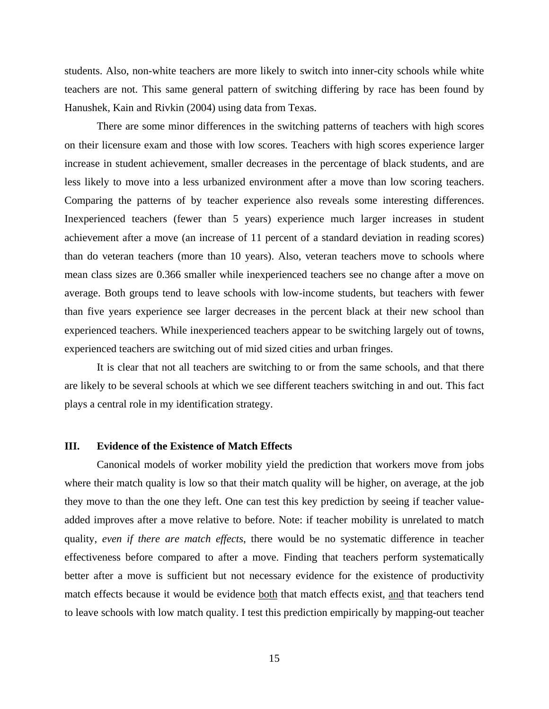students. Also, non-white teachers are more likely to switch into inner-city schools while white teachers are not. This same general pattern of switching differing by race has been found by Hanushek, Kain and Rivkin (2004) using data from Texas.

 There are some minor differences in the switching patterns of teachers with high scores on their licensure exam and those with low scores. Teachers with high scores experience larger increase in student achievement, smaller decreases in the percentage of black students, and are less likely to move into a less urbanized environment after a move than low scoring teachers. Comparing the patterns of by teacher experience also reveals some interesting differences. Inexperienced teachers (fewer than 5 years) experience much larger increases in student achievement after a move (an increase of 11 percent of a standard deviation in reading scores) than do veteran teachers (more than 10 years). Also, veteran teachers move to schools where mean class sizes are 0.366 smaller while inexperienced teachers see no change after a move on average. Both groups tend to leave schools with low-income students, but teachers with fewer than five years experience see larger decreases in the percent black at their new school than experienced teachers. While inexperienced teachers appear to be switching largely out of towns, experienced teachers are switching out of mid sized cities and urban fringes.

 It is clear that not all teachers are switching to or from the same schools, and that there are likely to be several schools at which we see different teachers switching in and out. This fact plays a central role in my identification strategy.

#### **III. Evidence of the Existence of Match Effects**

 Canonical models of worker mobility yield the prediction that workers move from jobs where their match quality is low so that their match quality will be higher, on average, at the job they move to than the one they left. One can test this key prediction by seeing if teacher valueadded improves after a move relative to before. Note: if teacher mobility is unrelated to match quality, *even if there are match effects*, there would be no systematic difference in teacher effectiveness before compared to after a move. Finding that teachers perform systematically better after a move is sufficient but not necessary evidence for the existence of productivity match effects because it would be evidence both that match effects exist, and that teachers tend to leave schools with low match quality. I test this prediction empirically by mapping-out teacher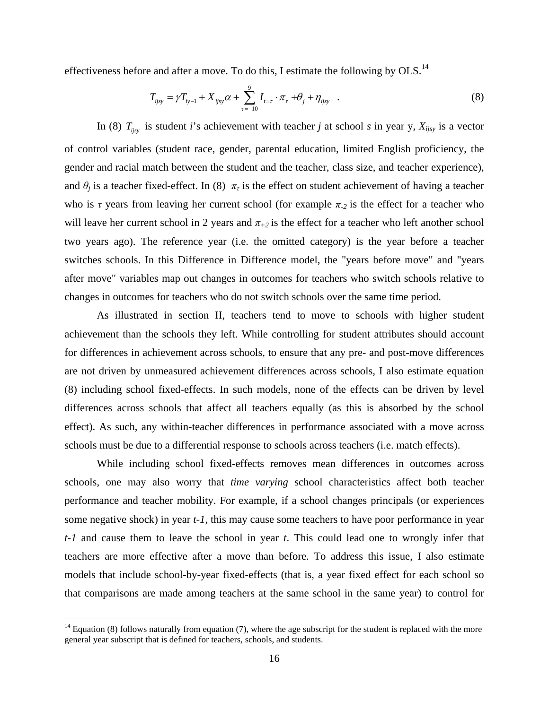effectiveness before and after a move. To do this, I estimate the following by OLS.<sup>14</sup>

$$
T_{ijsy} = \gamma T_{iy-1} + X_{ijsy}\alpha + \sum_{\tau=-10}^{9} I_{t=\tau} \cdot \pi_{\tau} + \theta_j + \eta_{ijsy} \quad . \tag{8}
$$

In (8)  $T_{ijsy}$  is student *i*'s achievement with teacher *j* at school *s* in year y,  $X_{ijsy}$  is a vector of control variables (student race, gender, parental education, limited English proficiency, the gender and racial match between the student and the teacher, class size, and teacher experience), and  $\theta_i$  is a teacher fixed-effect. In (8)  $\pi_i$  is the effect on student achievement of having a teacher who is *τ* years from leaving her current school (for example  $\pi_2$  is the effect for a teacher who will leave her current school in 2 years and  $\pi_{+2}$  is the effect for a teacher who left another school two years ago). The reference year (i.e. the omitted category) is the year before a teacher switches schools. In this Difference in Difference model, the "years before move" and "years after move" variables map out changes in outcomes for teachers who switch schools relative to changes in outcomes for teachers who do not switch schools over the same time period.

 As illustrated in section II, teachers tend to move to schools with higher student achievement than the schools they left. While controlling for student attributes should account for differences in achievement across schools, to ensure that any pre- and post-move differences are not driven by unmeasured achievement differences across schools, I also estimate equation (8) including school fixed-effects. In such models, none of the effects can be driven by level differences across schools that affect all teachers equally (as this is absorbed by the school effect). As such, any within-teacher differences in performance associated with a move across schools must be due to a differential response to schools across teachers (i.e. match effects).

 While including school fixed-effects removes mean differences in outcomes across schools, one may also worry that *time varying* school characteristics affect both teacher performance and teacher mobility. For example, if a school changes principals (or experiences some negative shock) in year *t-1*, this may cause some teachers to have poor performance in year *t-1* and cause them to leave the school in year *t*. This could lead one to wrongly infer that teachers are more effective after a move than before. To address this issue, I also estimate models that include school-by-year fixed-effects (that is, a year fixed effect for each school so that comparisons are made among teachers at the same school in the same year) to control for

1

 $14$  Equation (8) follows naturally from equation (7), where the age subscript for the student is replaced with the more general year subscript that is defined for teachers, schools, and students.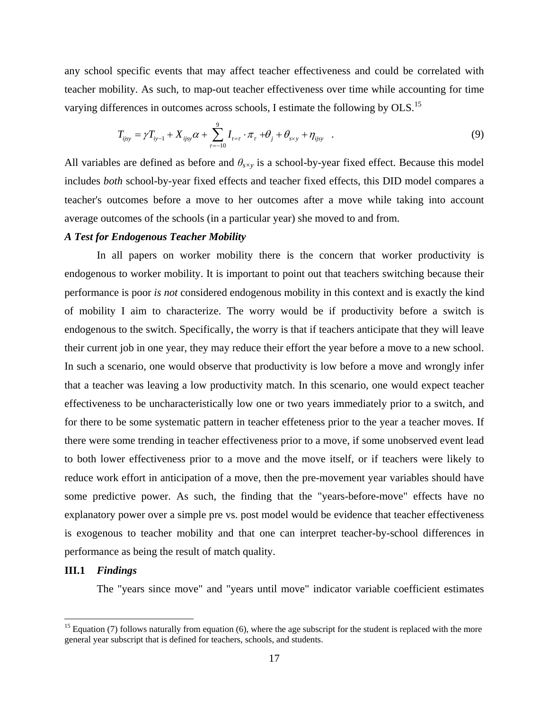any school specific events that may affect teacher effectiveness and could be correlated with teacher mobility. As such, to map-out teacher effectiveness over time while accounting for time varying differences in outcomes across schools, I estimate the following by OLS.<sup>15</sup>

$$
T_{ijsy} = \gamma T_{iy-1} + X_{ijsy}\alpha + \sum_{\tau=-10}^{9} I_{t=\tau} \cdot \pi_{\tau} + \theta_j + \theta_{s\times y} + \eta_{ijsy} \quad . \tag{9}
$$

All variables are defined as before and *θs×y* is a school-by-year fixed effect. Because this model includes *both* school-by-year fixed effects and teacher fixed effects, this DID model compares a teacher's outcomes before a move to her outcomes after a move while taking into account average outcomes of the schools (in a particular year) she moved to and from.

#### *A Test for Endogenous Teacher Mobility*

 In all papers on worker mobility there is the concern that worker productivity is endogenous to worker mobility. It is important to point out that teachers switching because their performance is poor *is not* considered endogenous mobility in this context and is exactly the kind of mobility I aim to characterize. The worry would be if productivity before a switch is endogenous to the switch. Specifically, the worry is that if teachers anticipate that they will leave their current job in one year, they may reduce their effort the year before a move to a new school. In such a scenario, one would observe that productivity is low before a move and wrongly infer that a teacher was leaving a low productivity match. In this scenario, one would expect teacher effectiveness to be uncharacteristically low one or two years immediately prior to a switch, and for there to be some systematic pattern in teacher effeteness prior to the year a teacher moves. If there were some trending in teacher effectiveness prior to a move, if some unobserved event lead to both lower effectiveness prior to a move and the move itself, or if teachers were likely to reduce work effort in anticipation of a move, then the pre-movement year variables should have some predictive power. As such, the finding that the "years-before-move" effects have no explanatory power over a simple pre vs. post model would be evidence that teacher effectiveness is exogenous to teacher mobility and that one can interpret teacher-by-school differences in performance as being the result of match quality.

# **III.1** *Findings*

 $\overline{a}$ 

The "years since move" and "years until move" indicator variable coefficient estimates

<sup>&</sup>lt;sup>15</sup> Equation (7) follows naturally from equation (6), where the age subscript for the student is replaced with the more general year subscript that is defined for teachers, schools, and students.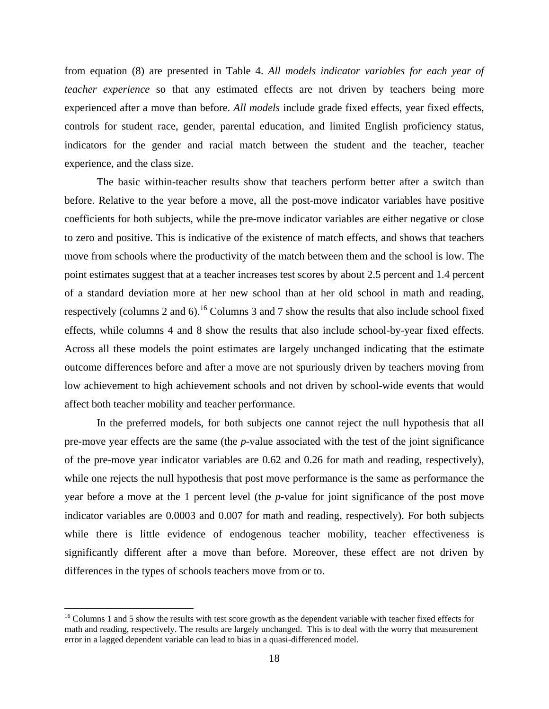from equation (8) are presented in Table 4. *All models indicator variables for each year of teacher experience* so that any estimated effects are not driven by teachers being more experienced after a move than before. *All models* include grade fixed effects, year fixed effects, controls for student race, gender, parental education, and limited English proficiency status, indicators for the gender and racial match between the student and the teacher, teacher experience, and the class size.

 The basic within-teacher results show that teachers perform better after a switch than before. Relative to the year before a move, all the post-move indicator variables have positive coefficients for both subjects, while the pre-move indicator variables are either negative or close to zero and positive. This is indicative of the existence of match effects, and shows that teachers move from schools where the productivity of the match between them and the school is low. The point estimates suggest that at a teacher increases test scores by about 2.5 percent and 1.4 percent of a standard deviation more at her new school than at her old school in math and reading, respectively (columns 2 and 6).<sup>16</sup> Columns 3 and 7 show the results that also include school fixed effects, while columns 4 and 8 show the results that also include school-by-year fixed effects. Across all these models the point estimates are largely unchanged indicating that the estimate outcome differences before and after a move are not spuriously driven by teachers moving from low achievement to high achievement schools and not driven by school-wide events that would affect both teacher mobility and teacher performance.

 In the preferred models, for both subjects one cannot reject the null hypothesis that all pre-move year effects are the same (the *p*-value associated with the test of the joint significance of the pre-move year indicator variables are 0.62 and 0.26 for math and reading, respectively), while one rejects the null hypothesis that post move performance is the same as performance the year before a move at the 1 percent level (the *p*-value for joint significance of the post move indicator variables are 0.0003 and 0.007 for math and reading, respectively). For both subjects while there is little evidence of endogenous teacher mobility, teacher effectiveness is significantly different after a move than before. Moreover, these effect are not driven by differences in the types of schools teachers move from or to.

 $\overline{a}$ 

<sup>&</sup>lt;sup>16</sup> Columns 1 and 5 show the results with test score growth as the dependent variable with teacher fixed effects for math and reading, respectively. The results are largely unchanged. This is to deal with the worry that measurement error in a lagged dependent variable can lead to bias in a quasi-differenced model.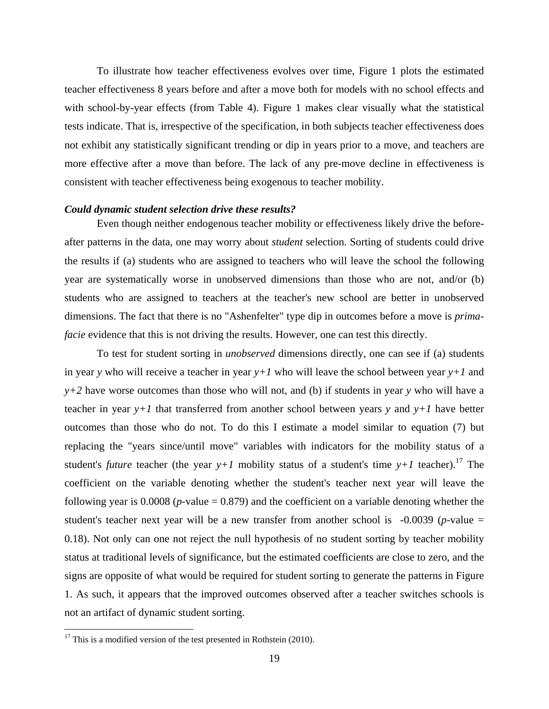To illustrate how teacher effectiveness evolves over time, Figure 1 plots the estimated teacher effectiveness 8 years before and after a move both for models with no school effects and with school-by-year effects (from Table 4). Figure 1 makes clear visually what the statistical tests indicate. That is, irrespective of the specification, in both subjects teacher effectiveness does not exhibit any statistically significant trending or dip in years prior to a move, and teachers are more effective after a move than before. The lack of any pre-move decline in effectiveness is consistent with teacher effectiveness being exogenous to teacher mobility.

#### *Could dynamic student selection drive these results?*

 Even though neither endogenous teacher mobility or effectiveness likely drive the beforeafter patterns in the data, one may worry about *student* selection. Sorting of students could drive the results if (a) students who are assigned to teachers who will leave the school the following year are systematically worse in unobserved dimensions than those who are not, and/or (b) students who are assigned to teachers at the teacher's new school are better in unobserved dimensions. The fact that there is no "Ashenfelter" type dip in outcomes before a move is *primafacie* evidence that this is not driving the results. However, one can test this directly.

 To test for student sorting in *unobserved* dimensions directly, one can see if (a) students in year *y* who will receive a teacher in year *y+1* who will leave the school between year *y+1* and *y+2* have worse outcomes than those who will not, and (b) if students in year *y* who will have a teacher in year  $y+1$  that transferred from another school between years y and  $y+1$  have better outcomes than those who do not. To do this I estimate a model similar to equation (7) but replacing the "years since/until move" variables with indicators for the mobility status of a student's *future* teacher (the year  $y+1$  mobility status of a student's time  $y+1$  teacher).<sup>17</sup> The coefficient on the variable denoting whether the student's teacher next year will leave the following year is  $0.0008$  ( $p$ -value = 0.879) and the coefficient on a variable denoting whether the student's teacher next year will be a new transfer from another school is  $-0.0039$  (*p*-value  $=$ 0.18). Not only can one not reject the null hypothesis of no student sorting by teacher mobility status at traditional levels of significance, but the estimated coefficients are close to zero, and the signs are opposite of what would be required for student sorting to generate the patterns in Figure 1. As such, it appears that the improved outcomes observed after a teacher switches schools is not an artifact of dynamic student sorting.

 $\overline{a}$ 

 $17$  This is a modified version of the test presented in Rothstein (2010).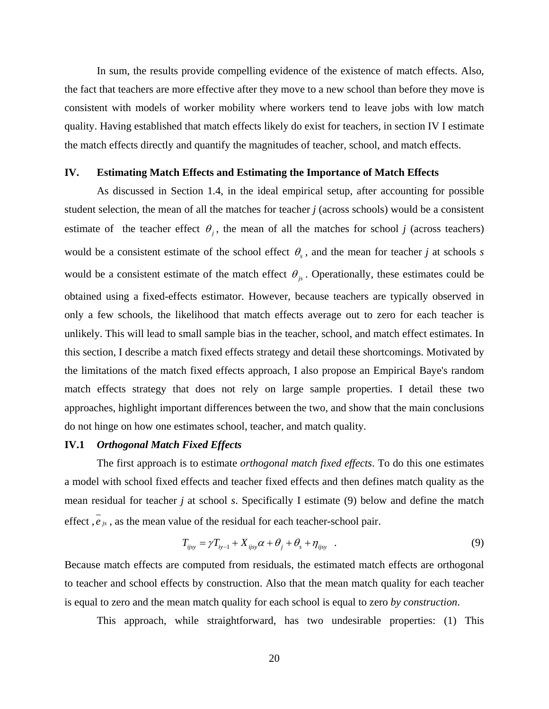In sum, the results provide compelling evidence of the existence of match effects. Also, the fact that teachers are more effective after they move to a new school than before they move is consistent with models of worker mobility where workers tend to leave jobs with low match quality. Having established that match effects likely do exist for teachers, in section IV I estimate the match effects directly and quantify the magnitudes of teacher, school, and match effects.

#### **IV. Estimating Match Effects and Estimating the Importance of Match Effects**

 As discussed in Section 1.4, in the ideal empirical setup, after accounting for possible student selection, the mean of all the matches for teacher *j* (across schools) would be a consistent estimate of the teacher effect  $\theta_i$ , the mean of all the matches for school *j* (across teachers) would be a consistent estimate of the school effect  $\theta_s$ , and the mean for teacher *j* at schools *s* would be a consistent estimate of the match effect  $\theta_{i}$ . Operationally, these estimates could be obtained using a fixed-effects estimator. However, because teachers are typically observed in only a few schools, the likelihood that match effects average out to zero for each teacher is unlikely. This will lead to small sample bias in the teacher, school, and match effect estimates. In this section, I describe a match fixed effects strategy and detail these shortcomings. Motivated by the limitations of the match fixed effects approach, I also propose an Empirical Baye's random match effects strategy that does not rely on large sample properties. I detail these two approaches, highlight important differences between the two, and show that the main conclusions do not hinge on how one estimates school, teacher, and match quality.

# **IV.1** *Orthogonal Match Fixed Effects*

 The first approach is to estimate *orthogonal match fixed effects*. To do this one estimates a model with school fixed effects and teacher fixed effects and then defines match quality as the mean residual for teacher *j* at school *s*. Specifically I estimate (9) below and define the match effect  $\overline{e}_{is}$ , as the mean value of the residual for each teacher-school pair.

$$
T_{ijsy} = \gamma T_{iy-1} + X_{ijsy}\alpha + \theta_j + \theta_s + \eta_{ijsy} \quad . \tag{9}
$$

Because match effects are computed from residuals, the estimated match effects are orthogonal to teacher and school effects by construction. Also that the mean match quality for each teacher is equal to zero and the mean match quality for each school is equal to zero *by construction*.

This approach, while straightforward, has two undesirable properties: (1) This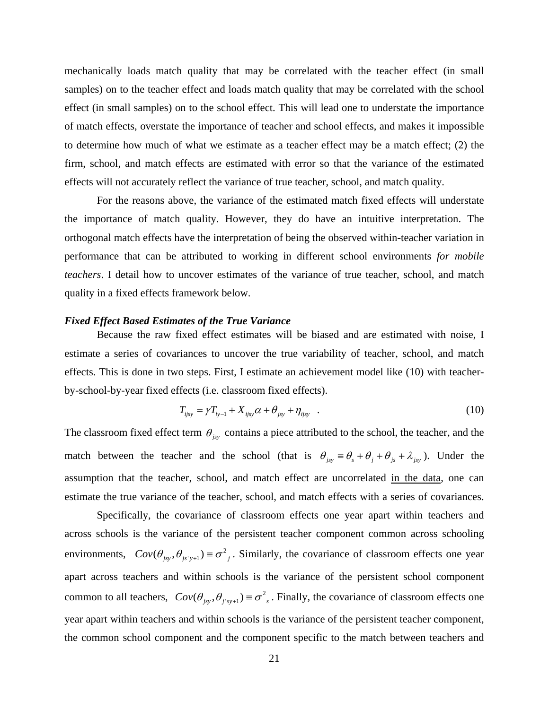mechanically loads match quality that may be correlated with the teacher effect (in small samples) on to the teacher effect and loads match quality that may be correlated with the school effect (in small samples) on to the school effect. This will lead one to understate the importance of match effects, overstate the importance of teacher and school effects, and makes it impossible to determine how much of what we estimate as a teacher effect may be a match effect; (2) the firm, school, and match effects are estimated with error so that the variance of the estimated effects will not accurately reflect the variance of true teacher, school, and match quality.

 For the reasons above, the variance of the estimated match fixed effects will understate the importance of match quality. However, they do have an intuitive interpretation. The orthogonal match effects have the interpretation of being the observed within-teacher variation in performance that can be attributed to working in different school environments *for mobile teachers*. I detail how to uncover estimates of the variance of true teacher, school, and match quality in a fixed effects framework below.

#### *Fixed Effect Based Estimates of the True Variance*

 Because the raw fixed effect estimates will be biased and are estimated with noise, I estimate a series of covariances to uncover the true variability of teacher, school, and match effects. This is done in two steps. First, I estimate an achievement model like (10) with teacherby-school-by-year fixed effects (i.e. classroom fixed effects).

$$
T_{ijsy} = \gamma T_{iy-1} + X_{ijsy}\alpha + \theta_{jsy} + \eta_{ijsy} \quad . \tag{10}
$$

The classroom fixed effect term  $\theta_{\text{iv}}$  contains a piece attributed to the school, the teacher, and the match between the teacher and the school (that is  $\theta_{jsy} = \theta_s + \theta_j + \theta_{js} + \lambda_{jsy}$ ). Under the assumption that the teacher, school, and match effect are uncorrelated in the data, one can estimate the true variance of the teacher, school, and match effects with a series of covariances.

 Specifically, the covariance of classroom effects one year apart within teachers and across schools is the variance of the persistent teacher component common across schooling environments,  $Cov(\theta_{jsy}, \theta_{jsy+1}) = \sigma^2$ , Similarly, the covariance of classroom effects one year apart across teachers and within schools is the variance of the persistent school component common to all teachers,  $Cov(\theta_{jsy}, \theta_{j'sy+1}) \equiv \sigma^2$ , Finally, the covariance of classroom effects one year apart within teachers and within schools is the variance of the persistent teacher component, the common school component and the component specific to the match between teachers and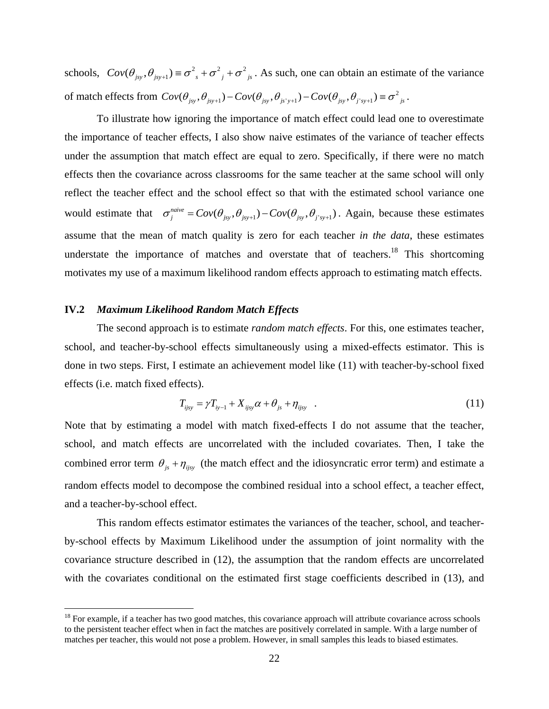schools,  $Cov(\theta_{jsy}, \theta_{jsy+1}) \equiv \sigma_{s}^{2} + \sigma_{j}^{2} + \sigma_{jsy}^{2}$ . As such, one can obtain an estimate of the variance of match effects from  $Cov(\theta_{jsy}, \theta_{jsy+1}) - Cov(\theta_{jsy}, \theta_{jsy+1}) - Cov(\theta_{jsy}, \theta_{j'sy+1}) \equiv \sigma^2_{js}$ .

 To illustrate how ignoring the importance of match effect could lead one to overestimate the importance of teacher effects, I also show naive estimates of the variance of teacher effects under the assumption that match effect are equal to zero. Specifically, if there were no match effects then the covariance across classrooms for the same teacher at the same school will only reflect the teacher effect and the school effect so that with the estimated school variance one would estimate that  $\sigma_j^{naive} = Cov(\theta_{jsv}, \theta_{jsv+1}) - Cov(\theta_{jsv}, \theta_{j'sv+1})$ . Again, because these estimates assume that the mean of match quality is zero for each teacher *in the data*, these estimates understate the importance of matches and overstate that of teachers.<sup>18</sup> This shortcoming motivates my use of a maximum likelihood random effects approach to estimating match effects.

# **IV.2** *Maximum Likelihood Random Match Effects*

 $\overline{a}$ 

 The second approach is to estimate *random match effects*. For this, one estimates teacher, school, and teacher-by-school effects simultaneously using a mixed-effects estimator. This is done in two steps. First, I estimate an achievement model like (11) with teacher-by-school fixed effects (i.e. match fixed effects).

$$
T_{ijsy} = \gamma T_{iy-1} + X_{ijsy}\alpha + \theta_{js} + \eta_{ijsy} \quad . \tag{11}
$$

Note that by estimating a model with match fixed-effects I do not assume that the teacher, school, and match effects are uncorrelated with the included covariates. Then, I take the combined error term  $\theta_{is} + \eta_{ijsy}$  (the match effect and the idiosyncratic error term) and estimate a random effects model to decompose the combined residual into a school effect, a teacher effect, and a teacher-by-school effect.

 This random effects estimator estimates the variances of the teacher, school, and teacherby-school effects by Maximum Likelihood under the assumption of joint normality with the covariance structure described in (12), the assumption that the random effects are uncorrelated with the covariates conditional on the estimated first stage coefficients described in (13), and

 $18$  For example, if a teacher has two good matches, this covariance approach will attribute covariance across schools to the persistent teacher effect when in fact the matches are positively correlated in sample. With a large number of matches per teacher, this would not pose a problem. However, in small samples this leads to biased estimates.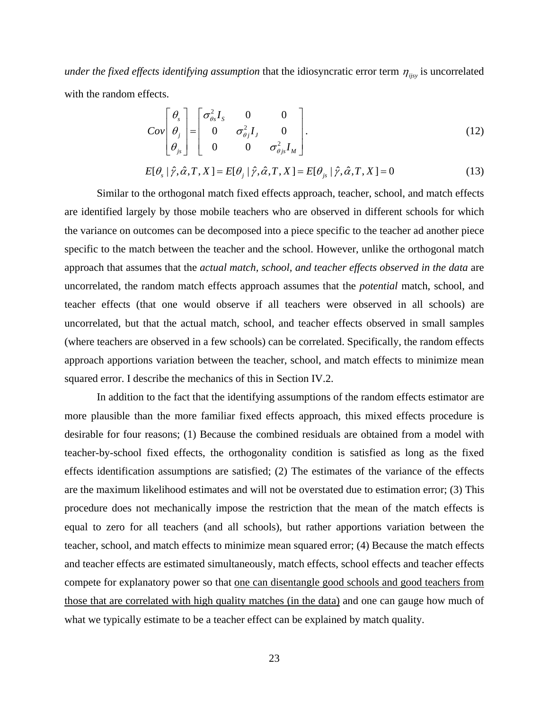*under the fixed effects identifying assumption* that the idiosyncratic error term  $\eta_{ij}$  is uncorrelated with the random effects.

$$
Cov\begin{bmatrix} \theta_s \\ \theta_j \\ \theta_{js} \end{bmatrix} = \begin{bmatrix} \sigma_{\theta s}^2 I_s & 0 & 0 \\ 0 & \sigma_{\theta j}^2 I_j & 0 \\ 0 & 0 & \sigma_{\theta js}^2 I_M \end{bmatrix}.
$$
 (12)

$$
E[\theta_s | \hat{\gamma}, \hat{\alpha}, T, X] = E[\theta_j | \hat{\gamma}, \hat{\alpha}, T, X] = E[\theta_{js} | \hat{\gamma}, \hat{\alpha}, T, X] = 0
$$
\n(13)

 Similar to the orthogonal match fixed effects approach, teacher, school, and match effects are identified largely by those mobile teachers who are observed in different schools for which the variance on outcomes can be decomposed into a piece specific to the teacher ad another piece specific to the match between the teacher and the school. However, unlike the orthogonal match approach that assumes that the *actual match, school, and teacher effects observed in the data* are uncorrelated, the random match effects approach assumes that the *potential* match, school, and teacher effects (that one would observe if all teachers were observed in all schools) are uncorrelated, but that the actual match, school, and teacher effects observed in small samples (where teachers are observed in a few schools) can be correlated. Specifically, the random effects approach apportions variation between the teacher, school, and match effects to minimize mean squared error. I describe the mechanics of this in Section IV.2.

 In addition to the fact that the identifying assumptions of the random effects estimator are more plausible than the more familiar fixed effects approach, this mixed effects procedure is desirable for four reasons; (1) Because the combined residuals are obtained from a model with teacher-by-school fixed effects, the orthogonality condition is satisfied as long as the fixed effects identification assumptions are satisfied; (2) The estimates of the variance of the effects are the maximum likelihood estimates and will not be overstated due to estimation error; (3) This procedure does not mechanically impose the restriction that the mean of the match effects is equal to zero for all teachers (and all schools), but rather apportions variation between the teacher, school, and match effects to minimize mean squared error; (4) Because the match effects and teacher effects are estimated simultaneously, match effects, school effects and teacher effects compete for explanatory power so that one can disentangle good schools and good teachers from those that are correlated with high quality matches (in the data) and one can gauge how much of what we typically estimate to be a teacher effect can be explained by match quality.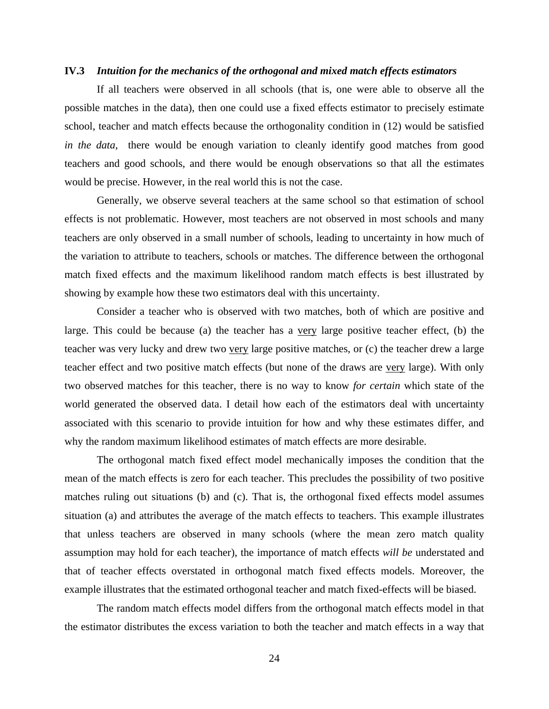#### **IV.3** *Intuition for the mechanics of the orthogonal and mixed match effects estimators*

 If all teachers were observed in all schools (that is, one were able to observe all the possible matches in the data), then one could use a fixed effects estimator to precisely estimate school, teacher and match effects because the orthogonality condition in (12) would be satisfied *in the data*, there would be enough variation to cleanly identify good matches from good teachers and good schools, and there would be enough observations so that all the estimates would be precise. However, in the real world this is not the case.

 Generally, we observe several teachers at the same school so that estimation of school effects is not problematic. However, most teachers are not observed in most schools and many teachers are only observed in a small number of schools, leading to uncertainty in how much of the variation to attribute to teachers, schools or matches. The difference between the orthogonal match fixed effects and the maximum likelihood random match effects is best illustrated by showing by example how these two estimators deal with this uncertainty.

 Consider a teacher who is observed with two matches, both of which are positive and large. This could be because (a) the teacher has a very large positive teacher effect, (b) the teacher was very lucky and drew two very large positive matches, or (c) the teacher drew a large teacher effect and two positive match effects (but none of the draws are very large). With only two observed matches for this teacher, there is no way to know *for certain* which state of the world generated the observed data. I detail how each of the estimators deal with uncertainty associated with this scenario to provide intuition for how and why these estimates differ, and why the random maximum likelihood estimates of match effects are more desirable.

 The orthogonal match fixed effect model mechanically imposes the condition that the mean of the match effects is zero for each teacher. This precludes the possibility of two positive matches ruling out situations (b) and (c). That is, the orthogonal fixed effects model assumes situation (a) and attributes the average of the match effects to teachers. This example illustrates that unless teachers are observed in many schools (where the mean zero match quality assumption may hold for each teacher), the importance of match effects *will be* understated and that of teacher effects overstated in orthogonal match fixed effects models. Moreover, the example illustrates that the estimated orthogonal teacher and match fixed-effects will be biased.

 The random match effects model differs from the orthogonal match effects model in that the estimator distributes the excess variation to both the teacher and match effects in a way that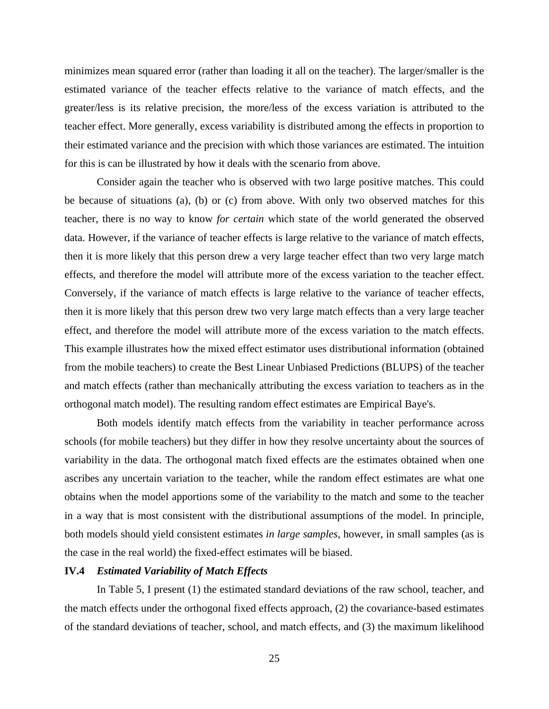minimizes mean squared error (rather than loading it all on the teacher). The larger/smaller is the estimated variance of the teacher effects relative to the variance of match effects, and the greater/less is its relative precision, the more/less of the excess variation is attributed to the teacher effect. More generally, excess variability is distributed among the effects in proportion to their estimated variance and the precision with which those variances are estimated. The intuition for this is can be illustrated by how it deals with the scenario from above.

 Consider again the teacher who is observed with two large positive matches. This could be because of situations (a), (b) or (c) from above. With only two observed matches for this teacher, there is no way to know *for certain* which state of the world generated the observed data. However, if the variance of teacher effects is large relative to the variance of match effects, then it is more likely that this person drew a very large teacher effect than two very large match effects, and therefore the model will attribute more of the excess variation to the teacher effect. Conversely, if the variance of match effects is large relative to the variance of teacher effects, then it is more likely that this person drew two very large match effects than a very large teacher effect, and therefore the model will attribute more of the excess variation to the match effects. This example illustrates how the mixed effect estimator uses distributional information (obtained from the mobile teachers) to create the Best Linear Unbiased Predictions (BLUPS) of the teacher and match effects (rather than mechanically attributing the excess variation to teachers as in the orthogonal match model). The resulting random effect estimates are Empirical Baye's.

 Both models identify match effects from the variability in teacher performance across schools (for mobile teachers) but they differ in how they resolve uncertainty about the sources of variability in the data. The orthogonal match fixed effects are the estimates obtained when one ascribes any uncertain variation to the teacher, while the random effect estimates are what one obtains when the model apportions some of the variability to the match and some to the teacher in a way that is most consistent with the distributional assumptions of the model. In principle, both models should yield consistent estimates *in large samples*, however, in small samples (as is the case in the real world) the fixed-effect estimates will be biased.

# **IV.4** *Estimated Variability of Match Effects*

 In Table 5, I present (1) the estimated standard deviations of the raw school, teacher, and the match effects under the orthogonal fixed effects approach, (2) the covariance-based estimates of the standard deviations of teacher, school, and match effects, and (3) the maximum likelihood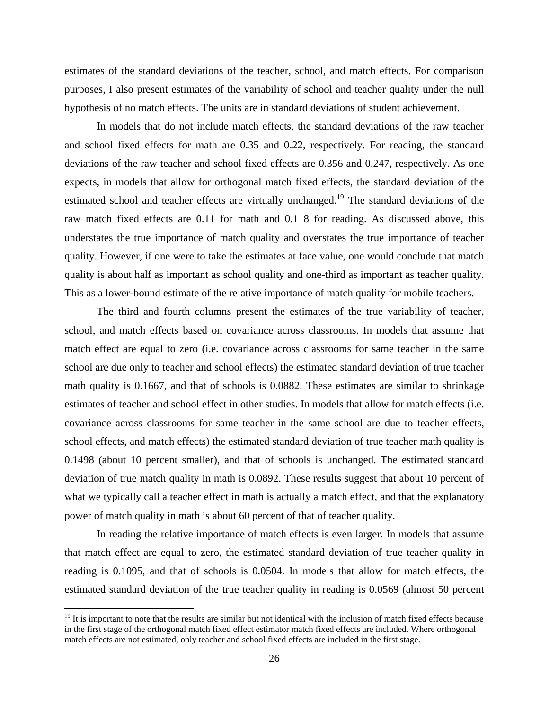estimates of the standard deviations of the teacher, school, and match effects. For comparison purposes, I also present estimates of the variability of school and teacher quality under the null hypothesis of no match effects. The units are in standard deviations of student achievement.

 In models that do not include match effects, the standard deviations of the raw teacher and school fixed effects for math are 0.35 and 0.22, respectively. For reading, the standard deviations of the raw teacher and school fixed effects are 0.356 and 0.247, respectively. As one expects, in models that allow for orthogonal match fixed effects, the standard deviation of the estimated school and teacher effects are virtually unchanged.<sup>19</sup> The standard deviations of the raw match fixed effects are 0.11 for math and 0.118 for reading. As discussed above, this understates the true importance of match quality and overstates the true importance of teacher quality. However, if one were to take the estimates at face value, one would conclude that match quality is about half as important as school quality and one-third as important as teacher quality. This as a lower-bound estimate of the relative importance of match quality for mobile teachers.

 The third and fourth columns present the estimates of the true variability of teacher, school, and match effects based on covariance across classrooms. In models that assume that match effect are equal to zero (i.e. covariance across classrooms for same teacher in the same school are due only to teacher and school effects) the estimated standard deviation of true teacher math quality is 0.1667, and that of schools is 0.0882. These estimates are similar to shrinkage estimates of teacher and school effect in other studies. In models that allow for match effects (i.e. covariance across classrooms for same teacher in the same school are due to teacher effects, school effects, and match effects) the estimated standard deviation of true teacher math quality is 0.1498 (about 10 percent smaller), and that of schools is unchanged. The estimated standard deviation of true match quality in math is 0.0892. These results suggest that about 10 percent of what we typically call a teacher effect in math is actually a match effect, and that the explanatory power of match quality in math is about 60 percent of that of teacher quality.

 In reading the relative importance of match effects is even larger. In models that assume that match effect are equal to zero, the estimated standard deviation of true teacher quality in reading is 0.1095, and that of schools is 0.0504. In models that allow for match effects, the estimated standard deviation of the true teacher quality in reading is 0.0569 (almost 50 percent

 $\overline{a}$ 

 $19$  It is important to note that the results are similar but not identical with the inclusion of match fixed effects because in the first stage of the orthogonal match fixed effect estimator match fixed effects are included. Where orthogonal match effects are not estimated, only teacher and school fixed effects are included in the first stage.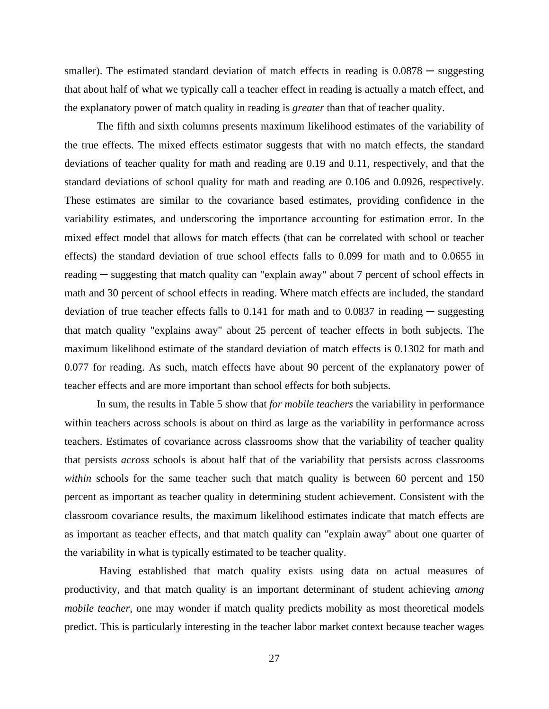smaller). The estimated standard deviation of match effects in reading is  $0.0878 -$  suggesting that about half of what we typically call a teacher effect in reading is actually a match effect, and the explanatory power of match quality in reading is *greater* than that of teacher quality.

 The fifth and sixth columns presents maximum likelihood estimates of the variability of the true effects. The mixed effects estimator suggests that with no match effects, the standard deviations of teacher quality for math and reading are 0.19 and 0.11, respectively, and that the standard deviations of school quality for math and reading are 0.106 and 0.0926, respectively. These estimates are similar to the covariance based estimates, providing confidence in the variability estimates, and underscoring the importance accounting for estimation error. In the mixed effect model that allows for match effects (that can be correlated with school or teacher effects) the standard deviation of true school effects falls to 0.099 for math and to 0.0655 in reading — suggesting that match quality can "explain away" about 7 percent of school effects in math and 30 percent of school effects in reading. Where match effects are included, the standard deviation of true teacher effects falls to  $0.141$  for math and to  $0.0837$  in reading — suggesting that match quality "explains away" about 25 percent of teacher effects in both subjects. The maximum likelihood estimate of the standard deviation of match effects is 0.1302 for math and 0.077 for reading. As such, match effects have about 90 percent of the explanatory power of teacher effects and are more important than school effects for both subjects.

 In sum, the results in Table 5 show that *for mobile teachers* the variability in performance within teachers across schools is about on third as large as the variability in performance across teachers. Estimates of covariance across classrooms show that the variability of teacher quality that persists *across* schools is about half that of the variability that persists across classrooms *within* schools for the same teacher such that match quality is between 60 percent and 150 percent as important as teacher quality in determining student achievement. Consistent with the classroom covariance results, the maximum likelihood estimates indicate that match effects are as important as teacher effects, and that match quality can "explain away" about one quarter of the variability in what is typically estimated to be teacher quality.

 Having established that match quality exists using data on actual measures of productivity, and that match quality is an important determinant of student achieving *among mobile teacher*, one may wonder if match quality predicts mobility as most theoretical models predict. This is particularly interesting in the teacher labor market context because teacher wages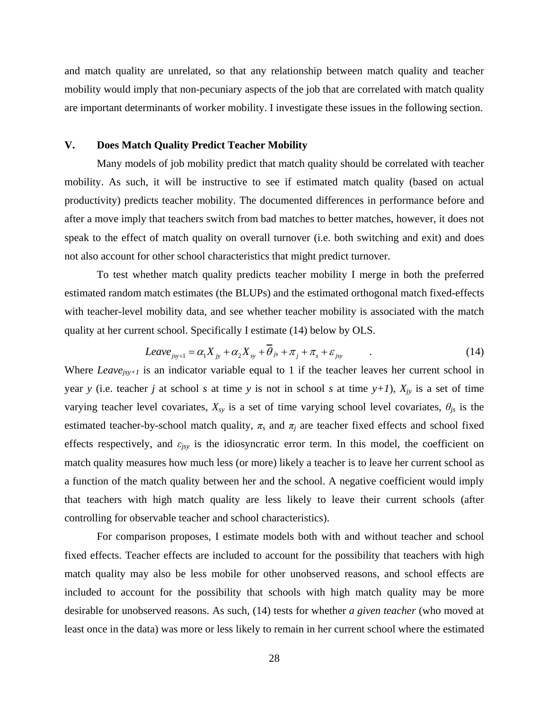and match quality are unrelated, so that any relationship between match quality and teacher mobility would imply that non-pecuniary aspects of the job that are correlated with match quality are important determinants of worker mobility. I investigate these issues in the following section.

#### **V. Does Match Quality Predict Teacher Mobility**

 Many models of job mobility predict that match quality should be correlated with teacher mobility. As such, it will be instructive to see if estimated match quality (based on actual productivity) predicts teacher mobility. The documented differences in performance before and after a move imply that teachers switch from bad matches to better matches, however, it does not speak to the effect of match quality on overall turnover (i.e. both switching and exit) and does not also account for other school characteristics that might predict turnover.

 To test whether match quality predicts teacher mobility I merge in both the preferred estimated random match estimates (the BLUPs) and the estimated orthogonal match fixed-effects with teacher-level mobility data, and see whether teacher mobility is associated with the match quality at her current school. Specifically I estimate (14) below by OLS.

$$
Leave_{j_{sy+1}} = \alpha_1 X_{j_y} + \alpha_2 X_{sy} + \overline{\theta}_{js} + \pi_j + \pi_s + \varepsilon_{j_{sy}} \tag{14}
$$

Where *Leave*<sub>isy+1</sub> is an indicator variable equal to 1 if the teacher leaves her current school in year *y* (i.e. teacher *j* at school *s* at time *y* is not in school *s* at time  $y+1$ ),  $X_{jy}$  is a set of time varying teacher level covariates,  $X_{sy}$  is a set of time varying school level covariates,  $\theta_{js}$  is the estimated teacher-by-school match quality,  $\pi_s$  and  $\pi_j$  are teacher fixed effects and school fixed effects respectively, and *εjsy* is the idiosyncratic error term. In this model, the coefficient on match quality measures how much less (or more) likely a teacher is to leave her current school as a function of the match quality between her and the school. A negative coefficient would imply that teachers with high match quality are less likely to leave their current schools (after controlling for observable teacher and school characteristics).

 For comparison proposes, I estimate models both with and without teacher and school fixed effects. Teacher effects are included to account for the possibility that teachers with high match quality may also be less mobile for other unobserved reasons, and school effects are included to account for the possibility that schools with high match quality may be more desirable for unobserved reasons. As such, (14) tests for whether *a given teacher* (who moved at least once in the data) was more or less likely to remain in her current school where the estimated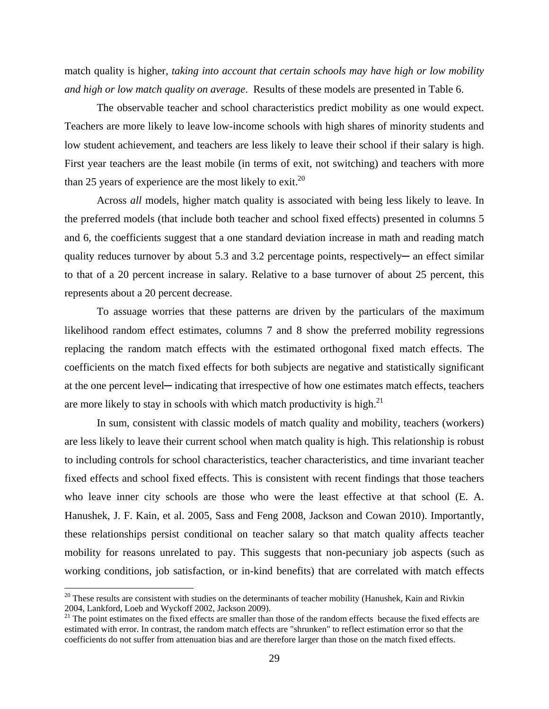match quality is higher, *taking into account that certain schools may have high or low mobility and high or low match quality on average*. Results of these models are presented in Table 6.

 The observable teacher and school characteristics predict mobility as one would expect. Teachers are more likely to leave low-income schools with high shares of minority students and low student achievement, and teachers are less likely to leave their school if their salary is high. First year teachers are the least mobile (in terms of exit, not switching) and teachers with more than 25 years of experience are the most likely to exit.<sup>20</sup>

 Across *all* models, higher match quality is associated with being less likely to leave. In the preferred models (that include both teacher and school fixed effects) presented in columns 5 and 6, the coefficients suggest that a one standard deviation increase in math and reading match quality reduces turnover by about 5.3 and 3.2 percentage points, respectively— an effect similar to that of a 20 percent increase in salary. Relative to a base turnover of about 25 percent, this represents about a 20 percent decrease.

 To assuage worries that these patterns are driven by the particulars of the maximum likelihood random effect estimates, columns 7 and 8 show the preferred mobility regressions replacing the random match effects with the estimated orthogonal fixed match effects. The coefficients on the match fixed effects for both subjects are negative and statistically significant at the one percent level─ indicating that irrespective of how one estimates match effects, teachers are more likely to stay in schools with which match productivity is high.<sup>21</sup>

 In sum, consistent with classic models of match quality and mobility, teachers (workers) are less likely to leave their current school when match quality is high. This relationship is robust to including controls for school characteristics, teacher characteristics, and time invariant teacher fixed effects and school fixed effects. This is consistent with recent findings that those teachers who leave inner city schools are those who were the least effective at that school (E. A. Hanushek, J. F. Kain, et al. 2005, Sass and Feng 2008, Jackson and Cowan 2010). Importantly, these relationships persist conditional on teacher salary so that match quality affects teacher mobility for reasons unrelated to pay. This suggests that non-pecuniary job aspects (such as working conditions, job satisfaction, or in-kind benefits) that are correlated with match effects

 $\overline{a}$ 

 $20$  These results are consistent with studies on the determinants of teacher mobility (Hanushek, Kain and Rivkin 2004, Lankford, Loeb and Wyckoff 2002, Jackson 2009).

 $2004$ , Lankrota, Loco and Wyckon 2002, such  $202$ ,  $\frac{2004}{1}$  The point estimates on the fixed effects are smaller than those of the random effects because the fixed effects are estimated with error. In contrast, the random match effects are "shrunken" to reflect estimation error so that the coefficients do not suffer from attenuation bias and are therefore larger than those on the match fixed effects.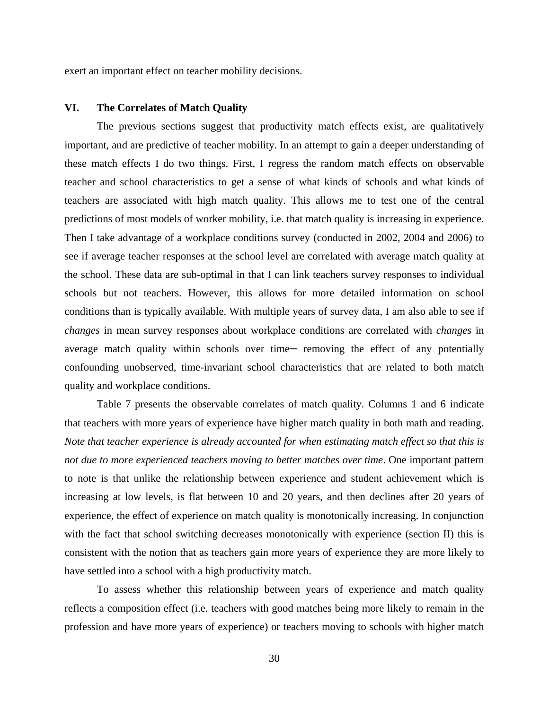exert an important effect on teacher mobility decisions.

#### **VI. The Correlates of Match Quality**

 The previous sections suggest that productivity match effects exist, are qualitatively important, and are predictive of teacher mobility. In an attempt to gain a deeper understanding of these match effects I do two things. First, I regress the random match effects on observable teacher and school characteristics to get a sense of what kinds of schools and what kinds of teachers are associated with high match quality. This allows me to test one of the central predictions of most models of worker mobility, i.e. that match quality is increasing in experience. Then I take advantage of a workplace conditions survey (conducted in 2002, 2004 and 2006) to see if average teacher responses at the school level are correlated with average match quality at the school. These data are sub-optimal in that I can link teachers survey responses to individual schools but not teachers. However, this allows for more detailed information on school conditions than is typically available. With multiple years of survey data, I am also able to see if *changes* in mean survey responses about workplace conditions are correlated with *changes* in average match quality within schools over time— removing the effect of any potentially confounding unobserved, time-invariant school characteristics that are related to both match quality and workplace conditions.

 Table 7 presents the observable correlates of match quality. Columns 1 and 6 indicate that teachers with more years of experience have higher match quality in both math and reading. *Note that teacher experience is already accounted for when estimating match effect so that this is not due to more experienced teachers moving to better matches over time*. One important pattern to note is that unlike the relationship between experience and student achievement which is increasing at low levels, is flat between 10 and 20 years, and then declines after 20 years of experience, the effect of experience on match quality is monotonically increasing. In conjunction with the fact that school switching decreases monotonically with experience (section II) this is consistent with the notion that as teachers gain more years of experience they are more likely to have settled into a school with a high productivity match.

 To assess whether this relationship between years of experience and match quality reflects a composition effect (i.e. teachers with good matches being more likely to remain in the profession and have more years of experience) or teachers moving to schools with higher match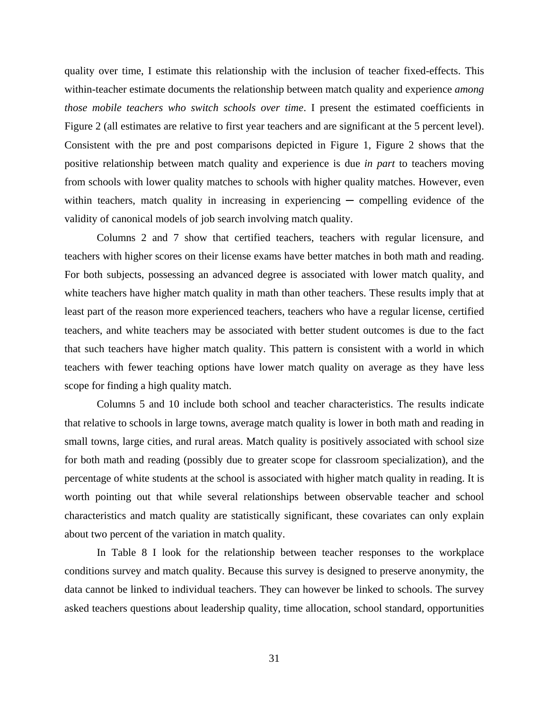quality over time, I estimate this relationship with the inclusion of teacher fixed-effects. This within-teacher estimate documents the relationship between match quality and experience *among those mobile teachers who switch schools over time*. I present the estimated coefficients in Figure 2 (all estimates are relative to first year teachers and are significant at the 5 percent level). Consistent with the pre and post comparisons depicted in Figure 1, Figure 2 shows that the positive relationship between match quality and experience is due *in part* to teachers moving from schools with lower quality matches to schools with higher quality matches. However, even within teachers, match quality in increasing in experiencing  $-$  compelling evidence of the validity of canonical models of job search involving match quality.

 Columns 2 and 7 show that certified teachers, teachers with regular licensure, and teachers with higher scores on their license exams have better matches in both math and reading. For both subjects, possessing an advanced degree is associated with lower match quality, and white teachers have higher match quality in math than other teachers. These results imply that at least part of the reason more experienced teachers, teachers who have a regular license, certified teachers, and white teachers may be associated with better student outcomes is due to the fact that such teachers have higher match quality. This pattern is consistent with a world in which teachers with fewer teaching options have lower match quality on average as they have less scope for finding a high quality match.

 Columns 5 and 10 include both school and teacher characteristics. The results indicate that relative to schools in large towns, average match quality is lower in both math and reading in small towns, large cities, and rural areas. Match quality is positively associated with school size for both math and reading (possibly due to greater scope for classroom specialization), and the percentage of white students at the school is associated with higher match quality in reading. It is worth pointing out that while several relationships between observable teacher and school characteristics and match quality are statistically significant, these covariates can only explain about two percent of the variation in match quality.

 In Table 8 I look for the relationship between teacher responses to the workplace conditions survey and match quality. Because this survey is designed to preserve anonymity, the data cannot be linked to individual teachers. They can however be linked to schools. The survey asked teachers questions about leadership quality, time allocation, school standard, opportunities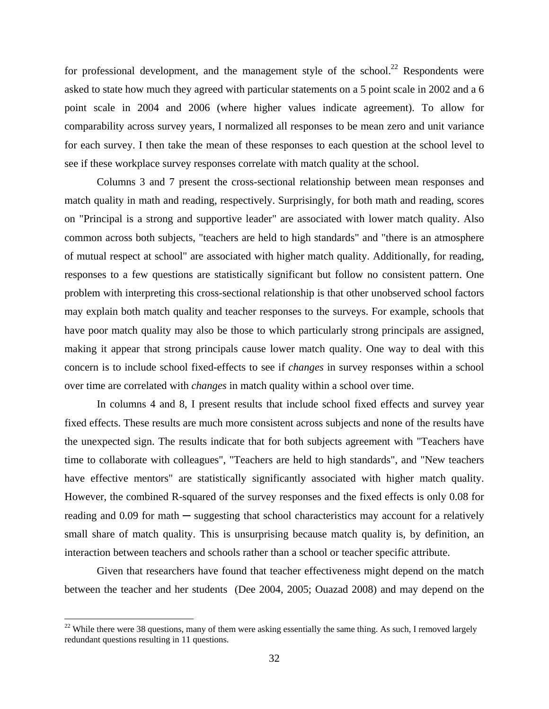for professional development, and the management style of the school.<sup>22</sup> Respondents were asked to state how much they agreed with particular statements on a 5 point scale in 2002 and a 6 point scale in 2004 and 2006 (where higher values indicate agreement). To allow for comparability across survey years, I normalized all responses to be mean zero and unit variance for each survey. I then take the mean of these responses to each question at the school level to see if these workplace survey responses correlate with match quality at the school.

 Columns 3 and 7 present the cross-sectional relationship between mean responses and match quality in math and reading, respectively. Surprisingly, for both math and reading, scores on "Principal is a strong and supportive leader" are associated with lower match quality. Also common across both subjects, "teachers are held to high standards" and "there is an atmosphere of mutual respect at school" are associated with higher match quality. Additionally, for reading, responses to a few questions are statistically significant but follow no consistent pattern. One problem with interpreting this cross-sectional relationship is that other unobserved school factors may explain both match quality and teacher responses to the surveys. For example, schools that have poor match quality may also be those to which particularly strong principals are assigned, making it appear that strong principals cause lower match quality. One way to deal with this concern is to include school fixed-effects to see if *changes* in survey responses within a school over time are correlated with *changes* in match quality within a school over time.

 In columns 4 and 8, I present results that include school fixed effects and survey year fixed effects. These results are much more consistent across subjects and none of the results have the unexpected sign. The results indicate that for both subjects agreement with "Teachers have time to collaborate with colleagues", "Teachers are held to high standards", and "New teachers have effective mentors" are statistically significantly associated with higher match quality. However, the combined R-squared of the survey responses and the fixed effects is only 0.08 for reading and  $0.09$  for math  $-$  suggesting that school characteristics may account for a relatively small share of match quality. This is unsurprising because match quality is, by definition, an interaction between teachers and schools rather than a school or teacher specific attribute.

 Given that researchers have found that teacher effectiveness might depend on the match between the teacher and her students (Dee 2004, 2005; Ouazad 2008) and may depend on the

 $\overline{a}$ 

 $22$  While there were 38 questions, many of them were asking essentially the same thing. As such, I removed largely redundant questions resulting in 11 questions.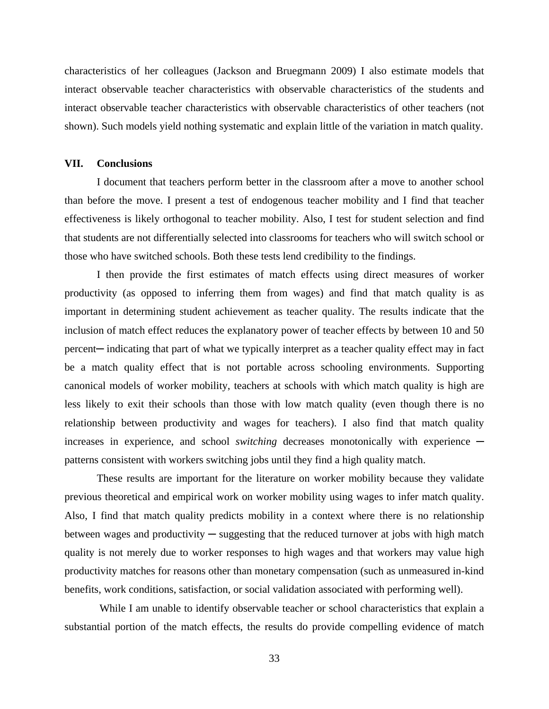characteristics of her colleagues (Jackson and Bruegmann 2009) I also estimate models that interact observable teacher characteristics with observable characteristics of the students and interact observable teacher characteristics with observable characteristics of other teachers (not shown). Such models yield nothing systematic and explain little of the variation in match quality.

#### **VII. Conclusions**

 I document that teachers perform better in the classroom after a move to another school than before the move. I present a test of endogenous teacher mobility and I find that teacher effectiveness is likely orthogonal to teacher mobility. Also, I test for student selection and find that students are not differentially selected into classrooms for teachers who will switch school or those who have switched schools. Both these tests lend credibility to the findings.

 I then provide the first estimates of match effects using direct measures of worker productivity (as opposed to inferring them from wages) and find that match quality is as important in determining student achievement as teacher quality. The results indicate that the inclusion of match effect reduces the explanatory power of teacher effects by between 10 and 50 percent— indicating that part of what we typically interpret as a teacher quality effect may in fact be a match quality effect that is not portable across schooling environments. Supporting canonical models of worker mobility, teachers at schools with which match quality is high are less likely to exit their schools than those with low match quality (even though there is no relationship between productivity and wages for teachers). I also find that match quality increases in experience, and school *switching* decreases monotonically with experience patterns consistent with workers switching jobs until they find a high quality match.

 These results are important for the literature on worker mobility because they validate previous theoretical and empirical work on worker mobility using wages to infer match quality. Also, I find that match quality predicts mobility in a context where there is no relationship between wages and productivity  $-$  suggesting that the reduced turnover at jobs with high match quality is not merely due to worker responses to high wages and that workers may value high productivity matches for reasons other than monetary compensation (such as unmeasured in-kind benefits, work conditions, satisfaction, or social validation associated with performing well).

 While I am unable to identify observable teacher or school characteristics that explain a substantial portion of the match effects, the results do provide compelling evidence of match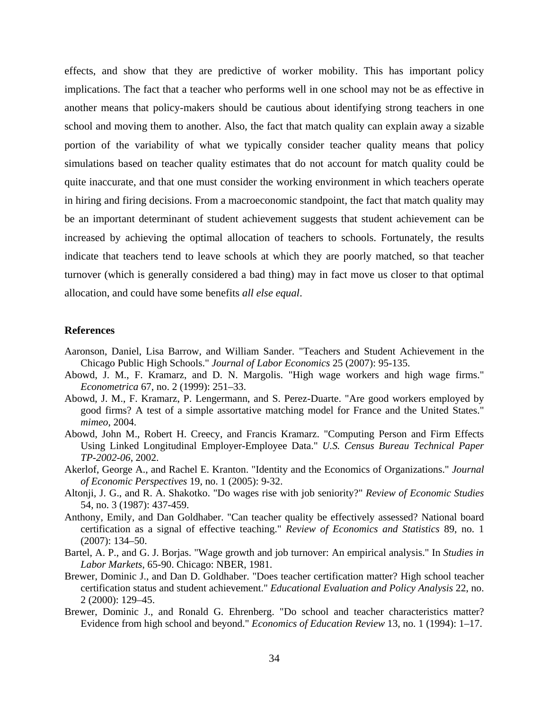effects, and show that they are predictive of worker mobility. This has important policy implications. The fact that a teacher who performs well in one school may not be as effective in another means that policy-makers should be cautious about identifying strong teachers in one school and moving them to another. Also, the fact that match quality can explain away a sizable portion of the variability of what we typically consider teacher quality means that policy simulations based on teacher quality estimates that do not account for match quality could be quite inaccurate, and that one must consider the working environment in which teachers operate in hiring and firing decisions. From a macroeconomic standpoint, the fact that match quality may be an important determinant of student achievement suggests that student achievement can be increased by achieving the optimal allocation of teachers to schools. Fortunately, the results indicate that teachers tend to leave schools at which they are poorly matched, so that teacher turnover (which is generally considered a bad thing) may in fact move us closer to that optimal allocation, and could have some benefits *all else equal*.

#### **References**

- Aaronson, Daniel, Lisa Barrow, and William Sander. "Teachers and Student Achievement in the Chicago Public High Schools." *Journal of Labor Economics* 25 (2007): 95-135.
- Abowd, J. M., F. Kramarz, and D. N. Margolis. "High wage workers and high wage firms." *Econometrica* 67, no. 2 (1999): 251–33.
- Abowd, J. M., F. Kramarz, P. Lengermann, and S. Perez-Duarte. "Are good workers employed by good firms? A test of a simple assortative matching model for France and the United States." *mimeo*, 2004.
- Abowd, John M., Robert H. Creecy, and Francis Kramarz. "Computing Person and Firm Effects Using Linked Longitudinal Employer-Employee Data." *U.S. Census Bureau Technical Paper TP-2002-06*, 2002.
- Akerlof, George A., and Rachel E. Kranton. "Identity and the Economics of Organizations." *Journal of Economic Perspectives* 19, no. 1 (2005): 9-32.
- Altonji, J. G., and R. A. Shakotko. "Do wages rise with job seniority?" *Review of Economic Studies* 54, no. 3 (1987): 437-459.
- Anthony, Emily, and Dan Goldhaber. "Can teacher quality be effectively assessed? National board certification as a signal of effective teaching." *Review of Economics and Statistics* 89, no. 1 (2007): 134–50.
- Bartel, A. P., and G. J. Borjas. "Wage growth and job turnover: An empirical analysis." In *Studies in Labor Markets*, 65-90. Chicago: NBER, 1981.
- Brewer, Dominic J., and Dan D. Goldhaber. "Does teacher certification matter? High school teacher certification status and student achievement." *Educational Evaluation and Policy Analysis* 22, no. 2 (2000): 129–45.
- Brewer, Dominic J., and Ronald G. Ehrenberg. "Do school and teacher characteristics matter? Evidence from high school and beyond." *Economics of Education Review* 13, no. 1 (1994): 1–17.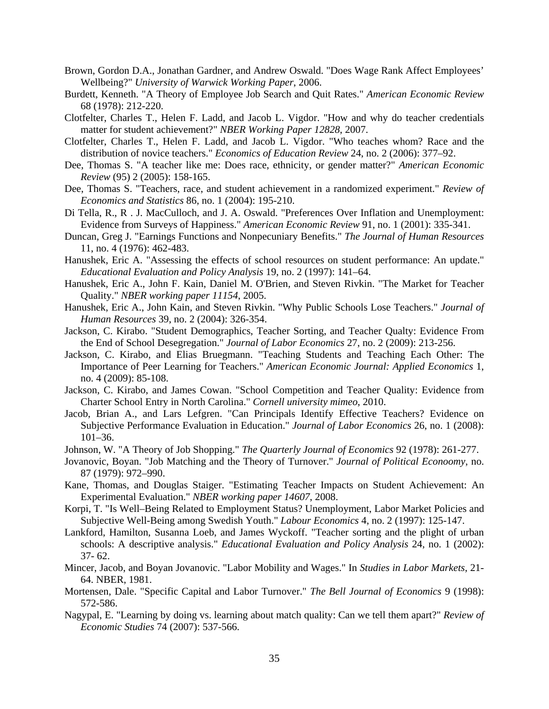- Brown, Gordon D.A., Jonathan Gardner, and Andrew Oswald. "Does Wage Rank Affect Employees' Wellbeing?" *University of Warwick Working Paper*, 2006.
- Burdett, Kenneth. "A Theory of Employee Job Search and Quit Rates." *American Economic Review* 68 (1978): 212-220.
- Clotfelter, Charles T., Helen F. Ladd, and Jacob L. Vigdor. "How and why do teacher credentials matter for student achievement?" *NBER Working Paper 12828*, 2007.
- Clotfelter, Charles T., Helen F. Ladd, and Jacob L. Vigdor. "Who teaches whom? Race and the distribution of novice teachers." *Economics of Education Review* 24, no. 2 (2006): 377–92.
- Dee, Thomas S. "A teacher like me: Does race, ethnicity, or gender matter?" *American Economic Review* (95) 2 (2005): 158-165.
- Dee, Thomas S. "Teachers, race, and student achievement in a randomized experiment." *Review of Economics and Statistics* 86, no. 1 (2004): 195-210.
- Di Tella, R., R . J. MacCulloch, and J. A. Oswald. "Preferences Over Inflation and Unemployment: Evidence from Surveys of Happiness." *American Economic Review* 91, no. 1 (2001): 335-341.
- Duncan, Greg J. "Earnings Functions and Nonpecuniary Benefits." *The Journal of Human Resources* 11, no. 4 (1976): 462-483.
- Hanushek, Eric A. "Assessing the effects of school resources on student performance: An update." *Educational Evaluation and Policy Analysis* 19, no. 2 (1997): 141–64.
- Hanushek, Eric A., John F. Kain, Daniel M. O'Brien, and Steven Rivkin. "The Market for Teacher Quality." *NBER working paper 11154*, 2005.
- Hanushek, Eric A., John Kain, and Steven Rivkin. "Why Public Schools Lose Teachers." *Journal of Human Resources* 39, no. 2 (2004): 326-354.
- Jackson, C. Kirabo. "Student Demographics, Teacher Sorting, and Teacher Qualty: Evidence From the End of School Desegregation." *Journal of Labor Economics* 27, no. 2 (2009): 213-256.
- Jackson, C. Kirabo, and Elias Bruegmann. "Teaching Students and Teaching Each Other: The Importance of Peer Learning for Teachers." *American Economic Journal: Applied Economics* 1, no. 4 (2009): 85-108.
- Jackson, C. Kirabo, and James Cowan. "School Competition and Teacher Quality: Evidence from Charter School Entry in North Carolina." *Cornell university mimeo*, 2010.
- Jacob, Brian A., and Lars Lefgren. "Can Principals Identify Effective Teachers? Evidence on Subjective Performance Evaluation in Education." *Journal of Labor Economics* 26, no. 1 (2008): 101–36.
- Johnson, W. "A Theory of Job Shopping." *The Quarterly Journal of Economics* 92 (1978): 261-277.
- Jovanovic, Boyan. "Job Matching and the Theory of Turnover." *Journal of Political Econoomy*, no. 87 (1979): 972–990.
- Kane, Thomas, and Douglas Staiger. "Estimating Teacher Impacts on Student Achievement: An Experimental Evaluation." *NBER working paper 14607*, 2008.
- Korpi, T. "Is Well–Being Related to Employment Status? Unemployment, Labor Market Policies and Subjective Well-Being among Swedish Youth." *Labour Economics* 4, no. 2 (1997): 125-147.
- Lankford, Hamilton, Susanna Loeb, and James Wyckoff. "Teacher sorting and the plight of urban schools: A descriptive analysis." *Educational Evaluation and Policy Analysis* 24, no. 1 (2002): 37- 62.
- Mincer, Jacob, and Boyan Jovanovic. "Labor Mobility and Wages." In *Studies in Labor Markets*, 21- 64. NBER, 1981.
- Mortensen, Dale. "Specific Capital and Labor Turnover." *The Bell Journal of Economics* 9 (1998): 572-586.
- Nagypal, E. "Learning by doing vs. learning about match quality: Can we tell them apart?" *Review of Economic Studies* 74 (2007): 537-566.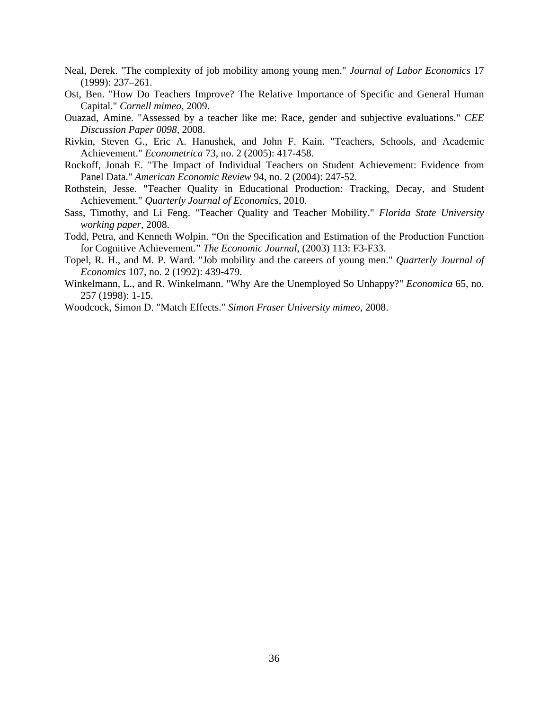- Neal, Derek. "The complexity of job mobility among young men." *Journal of Labor Economics* 17 (1999): 237–261.
- Ost, Ben. "How Do Teachers Improve? The Relative Importance of Specific and General Human Capital." *Cornell mimeo*, 2009.
- Ouazad, Amine. "Assessed by a teacher like me: Race, gender and subjective evaluations." *CEE Discussion Paper 0098*, 2008.
- Rivkin, Steven G., Eric A. Hanushek, and John F. Kain. "Teachers, Schools, and Academic Achievement." *Econometrica* 73, no. 2 (2005): 417-458.
- Rockoff, Jonah E. "The Impact of Individual Teachers on Student Achievement: Evidence from Panel Data." *American Economic Review* 94, no. 2 (2004): 247-52.
- Rothstein, Jesse. "Teacher Quality in Educational Production: Tracking, Decay, and Student Achievement." *Quarterly Journal of Economics*, 2010.
- Sass, Timothy, and Li Feng. "Teacher Quality and Teacher Mobility." *Florida State University working paper*, 2008.
- Todd, Petra, and Kenneth Wolpin. "On the Specification and Estimation of the Production Function for Cognitive Achievement." *The Economic Journal*, (2003) 113: F3-F33.
- Topel, R. H., and M. P. Ward. "Job mobility and the careers of young men." *Quarterly Journal of Economics* 107, no. 2 (1992): 439-479.
- Winkelmann, L., and R. Winkelmann. "Why Are the Unemployed So Unhappy?" *Economica* 65, no. 257 (1998): 1-15.
- Woodcock, Simon D. "Match Effects." *Simon Fraser University mimeo*, 2008.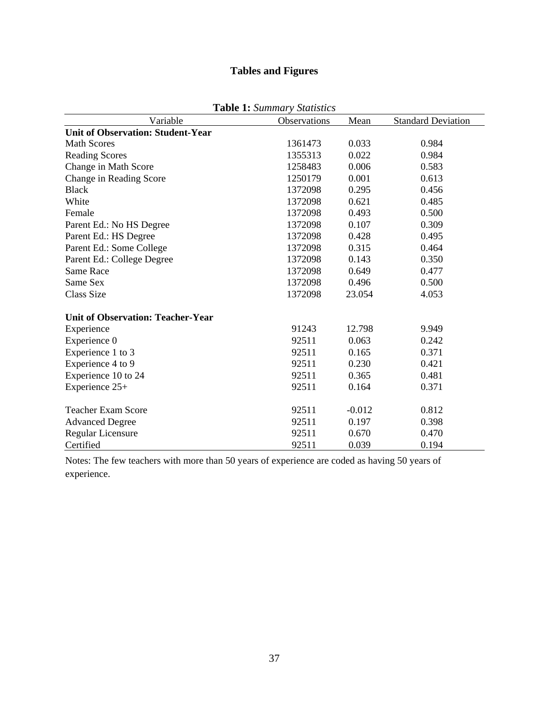# **Tables and Figures**

| Variable                                 | <b>Observations</b> | Mean     | <b>Standard Deviation</b> |
|------------------------------------------|---------------------|----------|---------------------------|
| <b>Unit of Observation: Student-Year</b> |                     |          |                           |
| <b>Math Scores</b>                       | 1361473             | 0.033    | 0.984                     |
| <b>Reading Scores</b>                    | 1355313             | 0.022    | 0.984                     |
| Change in Math Score                     | 1258483             | 0.006    | 0.583                     |
| Change in Reading Score                  | 1250179             | 0.001    | 0.613                     |
| <b>Black</b>                             | 1372098             | 0.295    | 0.456                     |
| White                                    | 1372098             | 0.621    | 0.485                     |
| Female                                   | 1372098             | 0.493    | 0.500                     |
| Parent Ed.: No HS Degree                 | 1372098             | 0.107    | 0.309                     |
| Parent Ed.: HS Degree                    | 1372098             | 0.428    | 0.495                     |
| Parent Ed.: Some College                 | 1372098             | 0.315    | 0.464                     |
| Parent Ed.: College Degree               | 1372098             | 0.143    | 0.350                     |
| Same Race                                | 1372098             | 0.649    | 0.477                     |
| Same Sex                                 | 1372098             | 0.496    | 0.500                     |
| <b>Class Size</b>                        | 1372098             | 23.054   | 4.053                     |
| <b>Unit of Observation: Teacher-Year</b> |                     |          |                           |
| Experience                               | 91243               | 12.798   | 9.949                     |
| Experience 0                             | 92511               | 0.063    | 0.242                     |
| Experience 1 to 3                        | 92511               | 0.165    | 0.371                     |
| Experience 4 to 9                        | 92511               | 0.230    | 0.421                     |
| Experience 10 to 24                      | 92511               | 0.365    | 0.481                     |
| Experience 25+                           | 92511               | 0.164    | 0.371                     |
| <b>Teacher Exam Score</b>                | 92511               | $-0.012$ | 0.812                     |
| <b>Advanced Degree</b>                   | 92511               | 0.197    | 0.398                     |
| <b>Regular Licensure</b>                 | 92511               | 0.670    | 0.470                     |
| Certified                                | 92511               | 0.039    | 0.194                     |

**Table 1:** *Summary Statistics*

Notes: The few teachers with more than 50 years of experience are coded as having 50 years of experience.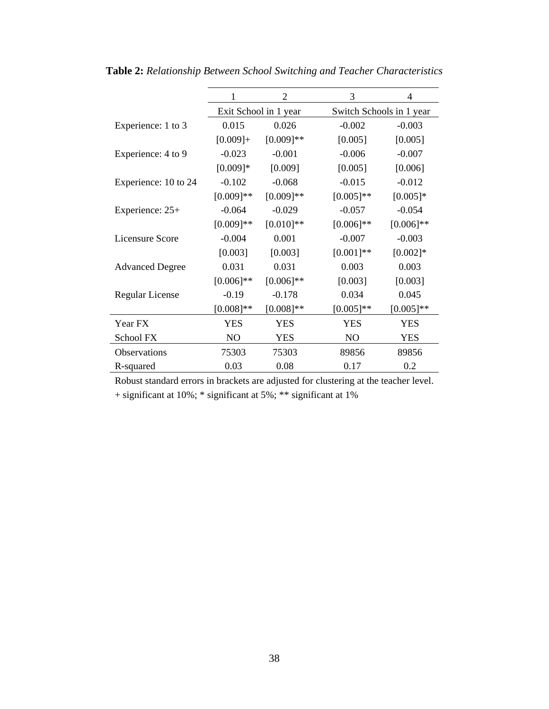|                        |                | 2                     | 3              | 4                        |  |  |  |
|------------------------|----------------|-----------------------|----------------|--------------------------|--|--|--|
|                        |                | Exit School in 1 year |                | Switch Schools in 1 year |  |  |  |
| Experience: 1 to 3     | 0.015          | 0.026                 | $-0.002$       | $-0.003$                 |  |  |  |
|                        | $[0.009]+$     | $[0.009]**$           | [0.005]        | [0.005]                  |  |  |  |
| Experience: 4 to 9     | $-0.023$       | $-0.001$              | $-0.006$       | $-0.007$                 |  |  |  |
|                        | $[0.009]*$     | [0.009]               | [0.005]        | [0.006]                  |  |  |  |
| Experience: 10 to 24   | $-0.102$       | $-0.068$              | $-0.015$       | $-0.012$                 |  |  |  |
|                        | $[0.009]**$    | $[0.009]**$           | $[0.005]**$    | $[0.005]*$               |  |  |  |
| Experience: 25+        | $-0.064$       | $-0.029$              | $-0.057$       | $-0.054$                 |  |  |  |
|                        | $[0.009]**$    | $[0.010]**$           | $[0.006]$ **   | $[0.006]$ **             |  |  |  |
| Licensure Score        | $-0.004$       | 0.001                 | $-0.007$       | $-0.003$                 |  |  |  |
|                        | [0.003]        | [0.003]               | $[0.001]$ **   | $[0.002]*$               |  |  |  |
| <b>Advanced Degree</b> | 0.031          | 0.031                 | 0.003          | 0.003                    |  |  |  |
|                        | $[0.006]$ **   | $[0.006]$ **          | [0.003]        | [0.003]                  |  |  |  |
| <b>Regular License</b> | $-0.19$        | $-0.178$              | 0.034          | 0.045                    |  |  |  |
|                        | $[0.008]$ **   | $[0.008]**$           | $[0.005]**$    | $[0.005]$ **             |  |  |  |
| Year FX                | <b>YES</b>     | <b>YES</b>            | <b>YES</b>     | <b>YES</b>               |  |  |  |
| School FX              | N <sub>O</sub> | <b>YES</b>            | N <sub>O</sub> | <b>YES</b>               |  |  |  |
| Observations           | 75303          | 75303                 | 89856          | 89856                    |  |  |  |
| R-squared              | 0.03           | 0.08                  | 0.17           | 0.2                      |  |  |  |

**Table 2:** *Relationship Between School Switching and Teacher Characteristics*

Robust standard errors in brackets are adjusted for clustering at the teacher level.

+ significant at 10%; \* significant at 5%; \*\* significant at 1%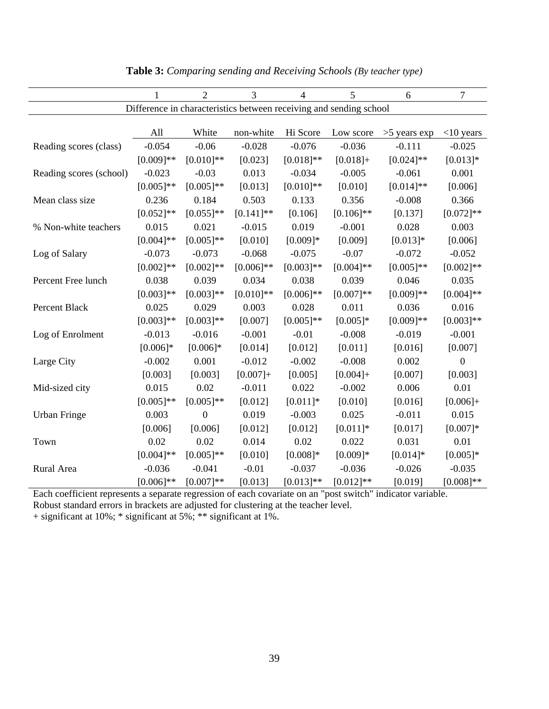|                         | $\mathbf{1}$ | $\overline{2}$ | $\overline{3}$ | $\overline{4}$ | 5                                                                  | 6              | 7            |
|-------------------------|--------------|----------------|----------------|----------------|--------------------------------------------------------------------|----------------|--------------|
|                         |              |                |                |                | Difference in characteristics between receiving and sending school |                |              |
|                         |              |                |                |                |                                                                    |                |              |
|                         | All          | White          | non-white      | Hi Score       | Low score                                                          | $>5$ years exp | $<$ 10 years |
| Reading scores (class)  | $-0.054$     | $-0.06$        | $-0.028$       | $-0.076$       | $-0.036$                                                           | $-0.111$       | $-0.025$     |
|                         | $[0.009]**$  | $[0.010]**$    | [0.023]        | $[0.018]**$    | $[0.018]+$                                                         | $[0.024]$ **   | $[0.013]*$   |
| Reading scores (school) | $-0.023$     | $-0.03$        | 0.013          | $-0.034$       | $-0.005$                                                           | $-0.061$       | 0.001        |
|                         | $[0.005]$ ** | $[0.005]$ **   | [0.013]        | $[0.010]**$    | [0.010]                                                            | $[0.014]$ **   | [0.006]      |
| Mean class size         | 0.236        | 0.184          | 0.503          | 0.133          | 0.356                                                              | $-0.008$       | 0.366        |
|                         | $[0.052]$ ** | $[0.055]$ **   | $[0.141]$ **   | [0.106]        | $[0.106]$ **                                                       | [0.137]        | $[0.072]$ ** |
| % Non-white teachers    | 0.015        | 0.021          | $-0.015$       | 0.019          | $-0.001$                                                           | 0.028          | 0.003        |
|                         | $[0.004]$ ** | $[0.005]$ **   | [0.010]        | $[0.009]*$     | [0.009]                                                            | $[0.013]*$     | [0.006]      |
| Log of Salary           | $-0.073$     | $-0.073$       | $-0.068$       | $-0.075$       | $-0.07$                                                            | $-0.072$       | $-0.052$     |
|                         | $[0.002]$ ** | $[0.002]$ **   | $[0.006]$ **   | $[0.003]**$    | $[0.004]$ **                                                       | $[0.005]$ **   | $[0.002]**$  |
| Percent Free lunch      | 0.038        | 0.039          | 0.034          | 0.038          | 0.039                                                              | 0.046          | 0.035        |
|                         | $[0.003]**$  | $[0.003]**$    | $[0.010]$ **   | $[0.006]$ **   | $[0.007]**$                                                        | $[0.009]**$    | $[0.004]$ ** |
| Percent Black           | 0.025        | 0.029          | 0.003          | 0.028          | 0.011                                                              | 0.036          | 0.016        |
|                         | $[0.003]**$  | $[0.003]**$    | [0.007]        | $[0.005]$ **   | $[0.005]$ *                                                        | $[0.009]**$    | $[0.003]**$  |
| Log of Enrolment        | $-0.013$     | $-0.016$       | $-0.001$       | $-0.01$        | $-0.008$                                                           | $-0.019$       | $-0.001$     |
|                         | $[0.006]*$   | $[0.006]*$     | [0.014]        | [0.012]        | [0.011]                                                            | [0.016]        | [0.007]      |
| Large City              | $-0.002$     | 0.001          | $-0.012$       | $-0.002$       | $-0.008$                                                           | 0.002          | $\mathbf{0}$ |
|                         | [0.003]      | [0.003]        | $[0.007]+$     | [0.005]        | $[0.004]+$                                                         | [0.007]        | [0.003]      |
| Mid-sized city          | 0.015        | 0.02           | $-0.011$       | 0.022          | $-0.002$                                                           | 0.006          | 0.01         |
|                         | $[0.005]$ ** | $[0.005]$ **   | [0.012]        | $[0.011]*$     | [0.010]                                                            | [0.016]        | $[0.006]+$   |
| <b>Urban Fringe</b>     | 0.003        | $\overline{0}$ | 0.019          | $-0.003$       | 0.025                                                              | $-0.011$       | 0.015        |
|                         | [0.006]      | [0.006]        | [0.012]        | [0.012]        | $[0.011]$ *                                                        | [0.017]        | $[0.007]*$   |
| Town                    | 0.02         | 0.02           | 0.014          | 0.02           | 0.022                                                              | 0.031          | 0.01         |
|                         | $[0.004]$ ** | $[0.005]$ **   | [0.010]        | $[0.008]*$     | $[0.009]*$                                                         | $[0.014]*$     | $[0.005]*$   |
| Rural Area              | $-0.036$     | $-0.041$       | $-0.01$        | $-0.037$       | $-0.036$                                                           | $-0.026$       | $-0.035$     |
|                         | $[0.006]$ ** | $[0.007]**$    | [0.013]        | $[0.013]**$    | $[0.012]**$                                                        | [0.019]        | $[0.008]**$  |

**Table 3:** *Comparing sending and Receiving Schools (By teacher type)*

Each coefficient represents a separate regression of each covariate on an "post switch" indicator variable. Robust standard errors in brackets are adjusted for clustering at the teacher level.

+ significant at 10%; \* significant at 5%; \*\* significant at 1%.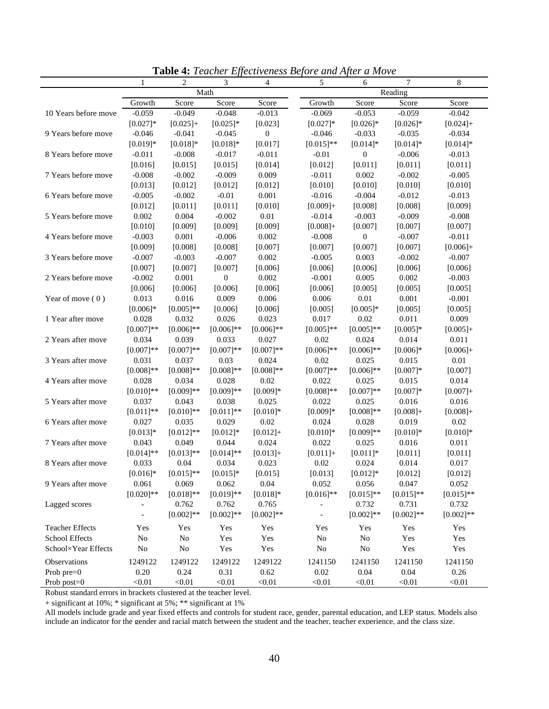|                        | $\mathbf{1}$   | 2            | 3                | 4                | <u>Ellecuveness Defore</u> and Tiper<br>5 | $W$ 1110 r C<br>6 | 7            | 8           |
|------------------------|----------------|--------------|------------------|------------------|-------------------------------------------|-------------------|--------------|-------------|
|                        |                |              | Math             |                  |                                           |                   | Reading      |             |
|                        | Growth         | Score        | Score            | Score            | Growth                                    | Score             | Score        | Score       |
| 10 Years before move   | $-0.059$       | $-0.049$     | $-0.048$         | $-0.013$         | $-0.069$                                  | $-0.053$          | $-0.059$     | $-0.042$    |
|                        | $[0.027]$ *    | $[0.025]+$   | $[0.025]*$       | [0.023]          | $[0.027]*$                                | $[0.026]$ *       | $[0.026]$ *  | $[0.024] +$ |
| 9 Years before move    | $-0.046$       | $-0.041$     | $-0.045$         | $\boldsymbol{0}$ | $-0.046$                                  | $-0.033$          | $-0.035$     | $-0.034$    |
|                        | $[0.019]*$     | $[0.018]*$   | $[0.018]*$       | [0.017]          | $[0.015]**$                               | $[0.014]*$        | $[0.014]*$   | $[0.014]*$  |
| 8 Years before move    | $-0.011$       | $-0.008$     | $-0.017$         | $-0.011$         | $-0.01$                                   | $\boldsymbol{0}$  | $-0.006$     | $-0.013$    |
|                        | [0.016]        | [0.015]      | [0.015]          | [0.014]          | [0.012]                                   | [0.011]           | [0.011]      | [0.011]     |
| 7 Years before move    | $-0.008$       | $-0.002$     | $-0.009$         | 0.009            | $-0.011$                                  | 0.002             | $-0.002$     | $-0.005$    |
|                        | [0.013]        | [0.012]      | [0.012]          | [0.012]          | [0.010]                                   | [0.010]           | [0.010]      | [0.010]     |
| 6 Years before move    | $-0.005$       | $-0.002$     | $-0.01$          | 0.001            | $-0.016$                                  | $-0.004$          | $-0.012$     | $-0.013$    |
|                        | [0.012]        | [0.011]      | [0.011]          | [0.010]          | $[0.009]+$                                | [0.008]           | [0.008]      | [0.009]     |
| 5 Years before move    | 0.002          | 0.004        | $-0.002$         | $0.01\,$         | $-0.014$                                  | $-0.003$          | $-0.009$     | $-0.008$    |
|                        | [0.010]        | [0.009]      | [0.009]          | [0.009]          | $[0.008]+$                                | [0.007]           | [0.007]      | [0.007]     |
| 4 Years before move    | $-0.003$       | 0.001        | $-0.006$         | 0.002            | $-0.008$                                  | 0                 | $-0.007$     | $-0.011$    |
|                        | [0.009]        | [0.008]      | [0.008]          | [0.007]          | [0.007]                                   | [0.007]           | [0.007]      | $[0.006]+$  |
| 3 Years before move    | $-0.007$       | $-0.003$     | $-0.007$         | 0.002            | $-0.005$                                  | 0.003             | $-0.002$     | $-0.007$    |
|                        | [0.007]        | [0.007]      | [0.007]          | [0.006]          | [0.006]                                   | [0.006]           | [0.006]      | [0.006]     |
| 2 Years before move    | $-0.002$       | 0.001        | $\boldsymbol{0}$ | 0.002            | $-0.001$                                  | 0.005             | 0.002        | $-0.003$    |
|                        | [0.006]        | [0.006]      | [0.006]          | [0.006]          | [0.006]                                   | [0.005]           | [0.005]      | [0.005]     |
| Year of move $(0)$     | 0.013          | 0.016        | 0.009            | 0.006            | 0.006                                     | $0.01\,$          | 0.001        | $-0.001$    |
|                        | $[0.006]*$     | $[0.005]**$  | [0.006]          | [0.006]          | [0.005]                                   | $[0.005]*$        | [0.005]      | [0.005]     |
| 1 Year after move      | 0.028          | 0.032        | 0.026            | 0.023            | 0.017                                     | 0.02              | 0.011        | 0.009       |
|                        | $[0.007]**$    | $[0.006]$ ** | $[0.006]$ **     | $[0.006]**$      | $[0.005]$ **                              | $[0.005]$ **      | $[0.005]*$   | $[0.005]+$  |
| 2 Years after move     | 0.034          | 0.039        | 0.033            | 0.027            | 0.02                                      | 0.024             | 0.014        | 0.011       |
|                        | $[0.007]**$    | $[0.007]**$  | $[0.007]**$      | $[0.007]**$      | $[0.006]$ **                              | $[0.006]$ **      | $[0.006]*$   | $[0.006]+$  |
| 3 Years after move     | 0.031          | 0.037        | 0.03             | 0.024            | 0.02                                      | 0.025             | 0.015        | $0.01\,$    |
|                        | $[0.008]$ **   | $[0.008]**$  | $[0.008]**$      | $[0.008]**$      | $[0.007]**$                               | $[0.006]$ **      | $[0.007]*$   | [0.007]     |
| 4 Years after move     | 0.028          | 0.034        | 0.028            | 0.02             | 0.022                                     | 0.025             | 0.015        | 0.014       |
|                        | $[0.010]**$    | $[0.009]**$  | $[0.009]**$      | $[0.009]*$       | $[0.008]**$                               | $[0.007]**$       | $[0.007]*$   | $[0.007]+$  |
| 5 Years after move     | 0.037          | 0.043        | 0.038            | 0.025            | 0.022                                     | 0.025             | 0.016        | 0.016       |
|                        | $[0.011]$ **   | $[0.010]$ ** | $[0.011]$ **     | $[0.010]*$       | $[0.009]*$                                | $[0.008]**$       | $[0.008]+$   | $[0.008]+$  |
| 6 Years after move     | 0.027          | 0.035        | 0.029            | 0.02             | 0.024                                     | 0.028             | 0.019        | 0.02        |
|                        | $[0.013]*$     | $[0.012]**$  | $[0.012]*$       | $[0.012]+$       | $[0.010]*$                                | $[0.009]**$       | $[0.010]*$   | $[0.010]*$  |
| 7 Years after move     | 0.043          | 0.049        | 0.044            | 0.024            | 0.022                                     | 0.025             | 0.016        | 0.011       |
|                        | $[0.014]$ **   | $[0.013]**$  | $[0.014]$ **     | $[0.013]+$       | $[0.011]+$                                | $[0.011]*$        | [0.011]      | [0.011]     |
| 8 Years after move     | 0.033          | 0.04         | 0.034            | 0.023            | 0.02                                      | 0.024             | 0.014        | 0.017       |
|                        | $[0.016]*$     | $[0.015]**$  | $[0.015]*$       | [0.015]          | [0.013]                                   | $[0.012]*$        | [0.012]      | [0.012]     |
| 9 Years after move     | 0.061          | 0.069        | 0.062            | 0.04             | 0.052                                     | 0.056             | 0.047        | 0.052       |
|                        | $[0.020]$ **   | $[0.018]**$  | $[0.019]**$      | $[0.018]*$       | $[0.016]$ **                              | $[0.015]**$       | $[0.015]**$  | $[0.015]*$  |
| Lagged scores          | $\overline{a}$ | 0.762        | 0.762            | 0.765            |                                           | 0.732             | 0.731        | 0.732       |
|                        |                | $[0.002]$ ** | $[0.002]**$      | $[0.002]**$      |                                           | $[0.002]**$       | $[0.002]$ ** | $[0.002]**$ |
| <b>Teacher Effects</b> | Yes            | Yes          | Yes              | Yes              | Yes                                       | Yes               | Yes          | Yes         |
| School Effects         | No             | $\rm No$     | Yes              | Yes              | No                                        | $\rm No$          | Yes          | Yes         |
| School×Year Effects    | No             | $\rm No$     | Yes              | Yes              | No                                        | $\rm No$          | Yes          | Yes         |
| Observations           | 1249122        | 1249122      | 1249122          | 1249122          | 1241150                                   | 1241150           | 1241150      | 1241150     |
| Prob pre=0             | 0.20           | 0.24         | 0.31             | 0.62             | 0.02                                      | 0.04              | $0.04\,$     | 0.26        |
| Prob post=0            | < 0.01         | < 0.01       | < 0.01           | < 0.01           | < 0.01                                    | < 0.01            | < 0.01       | < 0.01      |

**Table 4:** *Teacher Effectiveness Before and After a Move* 

Robust standard errors in brackets clustered at the teacher level.

+ significant at 10%; \* significant at 5%; \*\* significant at 1%

All models include grade and year fixed effects and controls for student race, gender, parental education, and LEP status. Models also include an indicator for the gender and racial match between the student and the teacher, teacher experience, and the class size.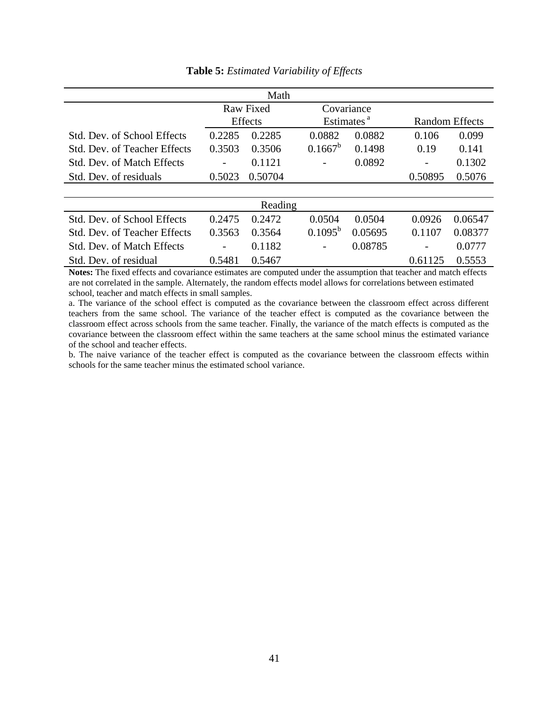|                                     |        | Math           |                        |         |                       |         |
|-------------------------------------|--------|----------------|------------------------|---------|-----------------------|---------|
|                                     |        | Raw Fixed      | Covariance             |         |                       |         |
|                                     |        | <b>Effects</b> | Estimates <sup>a</sup> |         | <b>Random Effects</b> |         |
| Std. Dev. of School Effects         | 0.2285 | 0.2285         | 0.0882                 | 0.0882  | 0.106                 | 0.099   |
| <b>Std. Dev. of Teacher Effects</b> | 0.3503 | 0.3506         | $0.1667^b$             | 0.1498  | 0.19                  | 0.141   |
| Std. Dev. of Match Effects          |        | 0.1121         |                        | 0.0892  |                       | 0.1302  |
| Std. Dev. of residuals              | 0.5023 | 0.50704        |                        |         | 0.50895               | 0.5076  |
|                                     |        |                |                        |         |                       |         |
|                                     |        | Reading        |                        |         |                       |         |
| Std. Dev. of School Effects         | 0.2475 | 0.2472         | 0.0504                 | 0.0504  | 0.0926                | 0.06547 |
| Std. Dev. of Teacher Effects        | 0.3563 | 0.3564         | $0.1095^b$             | 0.05695 | 0.1107                | 0.08377 |
| Std. Dev. of Match Effects          |        | 0.1182         |                        | 0.08785 |                       | 0.0777  |
| Std. Dev. of residual               | 0.5481 | 0.5467         |                        |         | 0.61125               | 0.5553  |

**Table 5:** *Estimated Variability of Effects*

**Notes:** The fixed effects and covariance estimates are computed under the assumption that teacher and match effects are not correlated in the sample. Alternately, the random effects model allows for correlations between estimated school, teacher and match effects in small samples.

a. The variance of the school effect is computed as the covariance between the classroom effect across different teachers from the same school. The variance of the teacher effect is computed as the covariance between the classroom effect across schools from the same teacher. Finally, the variance of the match effects is computed as the covariance between the classroom effect within the same teachers at the same school minus the estimated variance of the school and teacher effects.

b. The naive variance of the teacher effect is computed as the covariance between the classroom effects within schools for the same teacher minus the estimated school variance.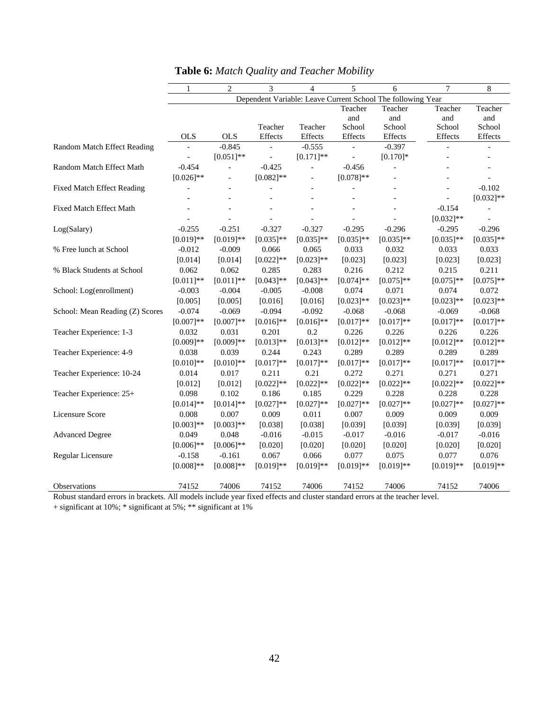|                                                                                                                          | $\mathbf{1}$ | $\mathfrak{D}$           | 3                        | $\overline{4}$ | 5              | 6                                                           | 7              | 8              |
|--------------------------------------------------------------------------------------------------------------------------|--------------|--------------------------|--------------------------|----------------|----------------|-------------------------------------------------------------|----------------|----------------|
|                                                                                                                          |              |                          |                          |                |                | Dependent Variable: Leave Current School The following Year |                |                |
|                                                                                                                          |              |                          |                          |                | Teacher        | Teacher                                                     | Teacher        | Teacher        |
|                                                                                                                          |              |                          |                          |                | and            | and                                                         | and            | and            |
|                                                                                                                          |              |                          | Teacher                  | Teacher        | School         | School                                                      | School         | School         |
|                                                                                                                          | <b>OLS</b>   | <b>OLS</b>               | Effects                  | $\it Effects$  | Effects        | Effects                                                     | Effects        | Effects        |
| Random Match Effect Reading                                                                                              |              | $-0.845$                 |                          | $-0.555$       |                | $-0.397$                                                    |                |                |
|                                                                                                                          |              | $[0.051]$ **             | $\overline{\phantom{a}}$ | $[0.171]$ **   | $\overline{a}$ | $[0.170]$ *                                                 |                |                |
| Random Match Effect Math                                                                                                 | $-0.454$     | $\overline{\phantom{0}}$ | $-0.425$                 | $\equiv$       | $-0.456$       |                                                             |                |                |
|                                                                                                                          | $[0.026]$ ** | $\overline{\phantom{0}}$ | $[0.082]$ **             |                | $[0.078]$ **   |                                                             |                |                |
| <b>Fixed Match Effect Reading</b>                                                                                        |              |                          |                          |                |                |                                                             |                | $-0.102$       |
|                                                                                                                          |              |                          |                          |                |                |                                                             |                | $[0.032]**$    |
| Fixed Match Effect Math                                                                                                  |              |                          |                          |                |                |                                                             | $-0.154$       |                |
|                                                                                                                          |              |                          |                          |                | $\overline{a}$ |                                                             | $[0.032]$ **   | $\overline{a}$ |
| Log(Salary)                                                                                                              | $-0.255$     | $-0.251$                 | $-0.327$                 | $-0.327$       | $-0.295$       | $-0.296$                                                    | $-0.295$       | $-0.296$       |
|                                                                                                                          | $[0.019]**$  | $[0.019]**$              | $[0.035]$ **             | $[0.035]$ **   | $[0.035]$ **   | $[0.035]$ **                                                | $[0.035]$ **   | $[0.035]$ **   |
| % Free lunch at School                                                                                                   | $-0.012$     | $-0.009$                 | 0.066                    | 0.065          | 0.033          | 0.032                                                       | 0.033          | 0.033          |
|                                                                                                                          | [0.014]      | [0.014]                  | $[0.022]$ **             | $[0.023]**$    | [0.023]        | [0.023]                                                     | [0.023]        | [0.023]        |
| % Black Students at School                                                                                               | 0.062        | 0.062                    | 0.285                    | 0.283          | 0.216          | 0.212                                                       | 0.215          | 0.211          |
|                                                                                                                          | $[0.011]$ ** | $[0.011]$ **             | $[0.043]$ **             | $[0.043]$ **   | $[0.074]$ **   | $[0.075]$ **                                                | $[0.075]^{**}$ | $[0.075]$ **   |
| School: Log(enrollment)                                                                                                  | $-0.003$     | $-0.004$                 | $-0.005$                 | $-0.008$       | 0.074          | 0.071                                                       | 0.074          | 0.072          |
|                                                                                                                          | [0.005]      | [0.005]                  | [0.016]                  | [0.016]        | $[0.023]$ **   | $[0.023]$ **                                                | $[0.023]$ **   | $[0.023]**$    |
| School: Mean Reading (Z) Scores                                                                                          | $-0.074$     | $-0.069$                 | $-0.094$                 | $-0.092$       | $-0.068$       | $-0.068$                                                    | $-0.069$       | $-0.068$       |
|                                                                                                                          | $[0.007]**$  | $[0.007]**$              | $[0.016]$ **             | $[0.016]$ **   | $[0.017]**$    | $[0.017]**$                                                 | $[0.017]**$    | $[0.017]**$    |
| Teacher Experience: 1-3                                                                                                  | 0.032        | 0.031                    | 0.201                    | 0.2            | 0.226          | 0.226                                                       | 0.226          | 0.226          |
|                                                                                                                          | $[0.009]**$  | $[0.009]**$              | $[0.013]**$              | $[0.013]**$    | $[0.012]$ **   | $[0.012]**$                                                 | $[0.012]$ **   | $[0.012]**$    |
| Teacher Experience: 4-9                                                                                                  | 0.038        | 0.039                    | 0.244                    | 0.243          | 0.289          | 0.289                                                       | 0.289          | 0.289          |
|                                                                                                                          | $[0.010]**$  | $[0.010]$ **             | $[0.017]**$              | $[0.017]**$    | $[0.017]**$    | $[0.017]**$                                                 | $[0.017]**$    | $[0.017]**$    |
| Teacher Experience: 10-24                                                                                                | 0.014        | 0.017                    | 0.211                    | 0.21           | 0.272          | 0.271                                                       | 0.271          | 0.271          |
|                                                                                                                          | [0.012]      | [0.012]                  | $[0.022]$ **             | $[0.022]$ **   | $[0.022]$ **   | $[0.022]$ **                                                | $[0.022]$ **   | $[0.022]$ **   |
| Teacher Experience: 25+                                                                                                  | 0.098        | 0.102                    | 0.186                    | 0.185          | 0.229          | 0.228                                                       | 0.228          | 0.228          |
|                                                                                                                          | $[0.014]$ ** | $[0.014]$ **             | $[0.027]**$              | $[0.027]**$    | $[0.027]**$    | $[0.027]**$                                                 | $[0.027]**$    | $[0.027]**$    |
| Licensure Score                                                                                                          | 0.008        | 0.007                    | 0.009                    | 0.011          | 0.007          | 0.009                                                       | 0.009          | 0.009          |
|                                                                                                                          | $[0.003]**$  | $[0.003]**$              | [0.038]                  | [0.038]        | [0.039]        | [0.039]                                                     | [0.039]        | [0.039]        |
| <b>Advanced Degree</b>                                                                                                   | 0.049        | 0.048                    | $-0.016$                 | $-0.015$       | $-0.017$       | $-0.016$                                                    | $-0.017$       | $-0.016$       |
|                                                                                                                          | $[0.006]$ ** | $[0.006]$ **             | [0.020]                  | [0.020]        | [0.020]        | [0.020]                                                     | [0.020]        | [0.020]        |
| Regular Licensure                                                                                                        | $-0.158$     | $-0.161$                 | 0.067                    | 0.066          | 0.077          | 0.075                                                       | 0.077          | 0.076          |
|                                                                                                                          | $[0.008]**$  | $[0.008]**$              | $[0.019]**$              | $[0.019]**$    | $[0.019]**$    | $[0.019]**$                                                 | $[0.019]**$    | $[0.019]**$    |
|                                                                                                                          |              |                          |                          |                |                |                                                             |                |                |
| Observations                                                                                                             | 74152        | 74006                    | 74152                    | 74006          | 74152          | 74006                                                       | 74152          | 74006          |
| Dohuat standard smans in huaskata. All models include year fixed effects and eluster standard smars at the teacher level |              |                          |                          |                |                |                                                             |                |                |

|  | <b>Table 6:</b> Match Quality and Teacher Mobility |
|--|----------------------------------------------------|
|--|----------------------------------------------------|

Robust standard errors in brackets. All models include year fixed effects and cluster standard errors at the teacher level.

+ significant at 10%; \* significant at 5%; \*\* significant at 1%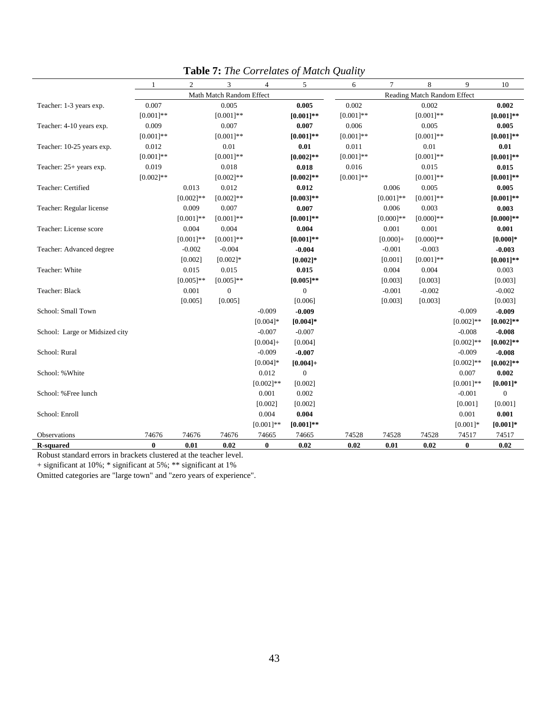|                                | 1            | $\overline{2}$ | 3                        | $\overline{4}$ | 5            | 6            | $\tau$                      | 8            | 9            | 10               |  |
|--------------------------------|--------------|----------------|--------------------------|----------------|--------------|--------------|-----------------------------|--------------|--------------|------------------|--|
|                                |              |                | Math Match Random Effect |                |              |              | Reading Match Random Effect |              |              |                  |  |
| Teacher: 1-3 years exp.        | 0.007        |                | 0.005                    |                | 0.005        | 0.002        |                             | 0.002        |              | 0.002            |  |
|                                | $[0.001]**$  |                | $[0.001]**$              |                | $[0.001]**$  | $[0.001]**$  |                             | $[0.001]$ ** |              | $[0.001]**$      |  |
| Teacher: 4-10 years exp.       | 0.009        |                | 0.007                    |                | 0.007        | 0.006        |                             | 0.005        |              | 0.005            |  |
|                                | $[0.001]**$  |                | $[0.001]$ **             |                | $[0.001]$ ** | $[0.001]$ ** |                             | $[0.001]$ ** |              | $[0.001]**$      |  |
| Teacher: 10-25 years exp.      | 0.012        |                | 0.01                     |                | 0.01         | 0.011        |                             | 0.01         |              | 0.01             |  |
|                                | $[0.001]$ ** |                | $[0.001]$ **             |                | $[0.002]$ ** | $[0.001]$ ** |                             | $[0.001]$ ** |              | $[0.001]**$      |  |
| Teacher: 25+ years exp.        | 0.019        |                | 0.018                    |                | 0.018        | 0.016        |                             | 0.015        |              | 0.015            |  |
|                                | $[0.002]$ ** |                | $[0.002]$ **             |                | $[0.002]$ ** | $[0.001]$ ** |                             | $[0.001]**$  |              | $[0.001]**$      |  |
| Teacher: Certified             |              | 0.013          | 0.012                    |                | 0.012        |              | 0.006                       | 0.005        |              | 0.005            |  |
|                                |              | $[0.002]$ **   | $[0.002]$ **             |                | $[0.003]*$   |              | $[0.001]**$                 | $[0.001]**$  |              | $[0.001]**$      |  |
| Teacher: Regular license       |              | 0.009          | 0.007                    |                | 0.007        |              | 0.006                       | 0.003        |              | 0.003            |  |
|                                |              | $[0.001]$ **   | $[0.001]**$              |                | $[0.001]$ ** |              | $[0.000]$ **                | $[0.000]$ ** |              | $[0.000]$ **     |  |
| Teacher: License score         |              | 0.004          | 0.004                    |                | 0.004        |              | 0.001                       | 0.001        |              | 0.001            |  |
|                                |              | $[0.001]$ **   | $[0.001]$ **             |                | $[0.001]**$  |              | $[0.000] +$                 | $[0.000]$ ** |              | $[0.000]$ *      |  |
| Teacher: Advanced degree       |              | $-0.002$       | $-0.004$                 |                | $-0.004$     |              | $-0.001$                    | $-0.003$     |              | $-0.003$         |  |
|                                |              | [0.002]        | $[0.002]*$               |                | $[0.002]$ *  |              | [0.001]                     | $[0.001]**$  |              | $[0.001]**$      |  |
| Teacher: White                 |              | 0.015          | 0.015                    |                | 0.015        |              | 0.004                       | 0.004        |              | 0.003            |  |
|                                |              | $[0.005]$ **   | $[0.005]$ **             |                | $[0.005]**$  |              | [0.003]                     | [0.003]      |              | [0.003]          |  |
| Teacher: Black                 |              | 0.001          | $\mathbf{0}$             |                | $\mathbf{0}$ |              | $-0.001$                    | $-0.002$     |              | $-0.002$         |  |
|                                |              | [0.005]        | [0.005]                  |                | [0.006]      |              | [0.003]                     | [0.003]      |              | [0.003]          |  |
| School: Small Town             |              |                |                          | $-0.009$       | $-0.009$     |              |                             |              | $-0.009$     | $-0.009$         |  |
|                                |              |                |                          | $[0.004]$ *    | $[0.004]$ *  |              |                             |              | $[0.002]$ ** | $[0.002]$ **     |  |
| School: Large or Midsized city |              |                |                          | $-0.007$       | $-0.007$     |              |                             |              | $-0.008$     | $-0.008$         |  |
|                                |              |                |                          | $[0.004] +$    | [0.004]      |              |                             |              | $[0.002]$ ** | $[0.002]$ **     |  |
| School: Rural                  |              |                |                          | $-0.009$       | $-0.007$     |              |                             |              | $-0.009$     | $-0.008$         |  |
|                                |              |                |                          | $[0.004]*$     | $[0.004] +$  |              |                             |              | $[0.002]$ ** | $[0.002]$ **     |  |
| School: % White                |              |                |                          | 0.012          | $\mathbf{0}$ |              |                             |              | 0.007        | 0.002            |  |
|                                |              |                |                          | $[0.002]**$    | [0.002]      |              |                             |              | $[0.001]$ ** | $[0.001]*$       |  |
| School: %Free lunch            |              |                |                          | 0.001          | 0.002        |              |                             |              | $-0.001$     | $\boldsymbol{0}$ |  |
|                                |              |                |                          | [0.002]        | [0.002]      |              |                             |              | [0.001]      | [0.001]          |  |
| School: Enroll                 |              |                |                          | 0.004          | 0.004        |              |                             |              | 0.001        | 0.001            |  |
|                                |              |                |                          | $[0.001]$ **   | $[0.001]**$  |              |                             |              | $[0.001]*$   | $[0.001]*$       |  |
| Observations                   | 74676        | 74676          | 74676                    | 74665          | 74665        | 74528        | 74528                       | 74528        | 74517        | 74517            |  |
| <b>R-squared</b>               | $\bf{0}$     | 0.01           | 0.02                     | $\bf{0}$       | 0.02         | 0.02         | 0.01                        | 0.02         | $\bf{0}$     | 0.02             |  |

**Table 7:** *The Correlates of Match Quality* 

Robust standard errors in brackets clustered at the teacher level.

+ significant at 10%; \* significant at 5%; \*\* significant at 1%

Omitted categories are "large town" and "zero years of experience".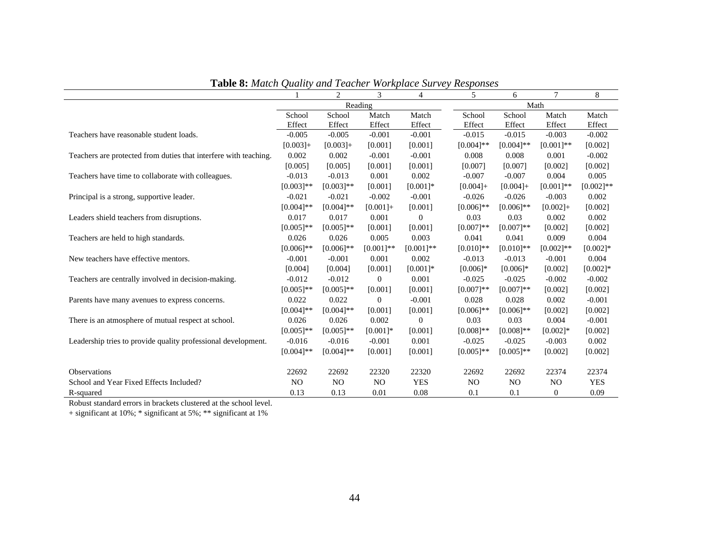|                                                                  |                | 2              | 3              | 4            | 5              | 6              | $\overline{7}$   | 8           |
|------------------------------------------------------------------|----------------|----------------|----------------|--------------|----------------|----------------|------------------|-------------|
|                                                                  |                |                | Reading        |              |                |                | Math             |             |
|                                                                  | School         | School         | Match          | Match        | School         | School         | Match            | Match       |
|                                                                  | Effect         | Effect         | Effect         | Effect       | Effect         | Effect         | Effect           | Effect      |
| Teachers have reasonable student loads.                          | $-0.005$       | $-0.005$       | $-0.001$       | $-0.001$     | $-0.015$       | $-0.015$       | $-0.003$         | $-0.002$    |
|                                                                  | $[0.003]+$     | $[0.003]+$     | [0.001]        | [0.001]      | $[0.004]$ **   | $[0.004]$ **   | $[0.001]**$      | [0.002]     |
| Teachers are protected from duties that interfere with teaching. | 0.002          | 0.002          | $-0.001$       | $-0.001$     | 0.008          | 0.008          | 0.001            | $-0.002$    |
|                                                                  | [0.005]        | [0.005]        | [0.001]        | [0.001]      | [0.007]        | [0.007]        | [0.002]          | [0.002]     |
| Teachers have time to collaborate with colleagues.               | $-0.013$       | $-0.013$       | 0.001          | 0.002        | $-0.007$       | $-0.007$       | 0.004            | 0.005       |
|                                                                  | $[0.003]**$    | $[0.003]**$    | [0.001]        | $[0.001]$ *  | $[0.004] +$    | $[0.004] +$    | $[0.001]**$      | $[0.002]**$ |
| Principal is a strong, supportive leader.                        | $-0.021$       | $-0.021$       | $-0.002$       | $-0.001$     | $-0.026$       | $-0.026$       | $-0.003$         | 0.002       |
|                                                                  | $[0.004]$ **   | $[0.004]$ **   | $[0.001] +$    | [0.001]      | $[0.006]$ **   | $[0.006]$ **   | $[0.002]+$       | [0.002]     |
| Leaders shield teachers from disruptions.                        | 0.017          | 0.017          | 0.001          | $\mathbf{0}$ | 0.03           | 0.03           | 0.002            | 0.002       |
|                                                                  | $[0.005]$ **   | $[0.005]$ **   | [0.001]        | [0.001]      | $[0.007]**$    | $[0.007]**$    | [0.002]          | [0.002]     |
| Teachers are held to high standards.                             | 0.026          | 0.026          | 0.005          | 0.003        | 0.041          | 0.041          | 0.009            | 0.004       |
|                                                                  | $[0.006]$ **   | $[0.006]$ **   | $[0.001]**$    | $[0.001]**$  | $[0.010]$ **   | $[0.010]**$    | $[0.002]$ **     | $[0.002]*$  |
| New teachers have effective mentors.                             | $-0.001$       | $-0.001$       | 0.001          | 0.002        | $-0.013$       | $-0.013$       | $-0.001$         | 0.004       |
|                                                                  | [0.004]        | [0.004]        | [0.001]        | $[0.001]*$   | $[0.006]$ *    | $[0.006]$ *    | [0.002]          | $[0.002]*$  |
| Teachers are centrally involved in decision-making.              | $-0.012$       | $-0.012$       | $\theta$       | 0.001        | $-0.025$       | $-0.025$       | $-0.002$         | $-0.002$    |
|                                                                  | $[0.005]**$    | $[0.005]$ **   | [0.001]        | [0.001]      | $[0.007]**$    | $[0.007]**$    | [0.002]          | [0.002]     |
| Parents have many avenues to express concerns.                   | 0.022          | 0.022          | $\mathbf{0}$   | $-0.001$     | 0.028          | 0.028          | 0.002            | $-0.001$    |
|                                                                  | $[0.004]$ **   | $[0.004]$ **   | [0.001]        | [0.001]      | $[0.006]$ **   | $[0.006]$ **   | [0.002]          | [0.002]     |
| There is an atmosphere of mutual respect at school.              | 0.026          | 0.026          | 0.002          | $\theta$     | 0.03           | 0.03           | 0.004            | $-0.001$    |
|                                                                  | $[0.005]$ **   | $[0.005]$ **   | $[0.001]*$     | [0.001]      | $[0.008]**$    | $[0.008]**$    | $[0.002]$ *      | [0.002]     |
| Leadership tries to provide quality professional development.    | $-0.016$       | $-0.016$       | $-0.001$       | 0.001        | $-0.025$       | $-0.025$       | $-0.003$         | 0.002       |
|                                                                  | $[0.004]$ **   | $[0.004]$ **   | [0.001]        | [0.001]      | $[0.005]$ **   | $[0.005]$ **   | [0.002]          | [0.002]     |
| Observations                                                     | 22692          | 22692          | 22320          | 22320        | 22692          | 22692          | 22374            | 22374       |
| School and Year Fixed Effects Included?                          | N <sub>O</sub> | N <sub>O</sub> | N <sub>O</sub> | <b>YES</b>   | N <sub>O</sub> | N <sub>O</sub> | N <sub>O</sub>   | <b>YES</b>  |
| R-squared                                                        | 0.13           | 0.13           | 0.01           | 0.08         | 0.1            | 0.1            | $\boldsymbol{0}$ | 0.09        |

**Table 8:** *Match Quality and Teacher Workplace Survey Responses* 

Robust standard errors in brackets clustered at the school level.

+ significant at 10%; \* significant at 5%; \*\* significant at 1%